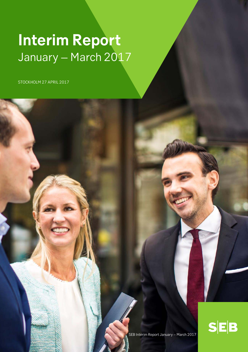# **Interim Report** January – March 2017

STOCKHOLM 27 APRIL 2017

l



SEB Interim Report January – March 2017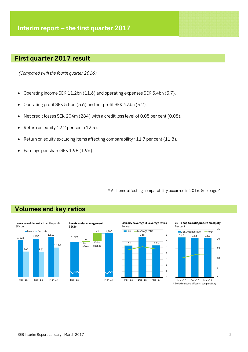## **First quarter 2017 result**

 *(Compared with the fourth quarter 2016)* 

- Operating income SEK 11.2bn (11.6) and operating expenses SEK 5.4bn (5.7).
- Operating profit SEK 5.5bn (5.6) and net profit SEK 4.3bn (4.2).
- $\bullet$  Net credit losses SEK 204m (284) with a credit loss level of 0.05 per cent (0.08).
- Return on equity 12.2 per cent (12.3).
- Exeturn on equity excluding items affecting comparability\* 11.7 per cent (11.8).
- Earnings per share SEK 1.98 (1.96).

\* All items affecting comparability occurred in 2016. See page 4.



## **Volumes and key ratios**









<sup>\*</sup> Excluding items affecting comparability Mar -16 Dec -16 Mar -17

 $\Omega$ 

5

10

15

20

25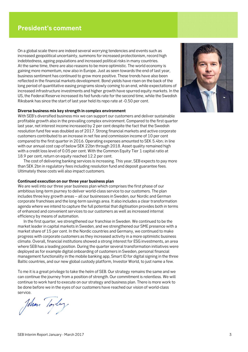On a global scale there are indeed several worrying tendencies and events such as increased geopolitical uncertainty, summons for increased protectionism, record high indebtedness, ageing populations and increased political risks in many countries. At the same time, there are also reasons to be more optimistic. The world economy is gaining more momentum, now also in Europe. Just as seen towards the end of last year, business sentiment has continued to grow more positive. These trends have also been reflected in the financial markets development. Bond yields have risen on the back of the long period of quantitative easing programs slowly coming to an end, while expectations of increased infrastructure investments and higher growth have spurred equity markets. In the US, the Federal Reserve increased its fed funds rate for the second time, while the Swedish Riksbank has since the start of last year held its repo rate at -0.50 per cent.

## **Diverse business mix key strength in complex environment**

With SEB's diversified business mix we can support our customers and deliver sustainable profitable growth also in the prevailing complex environment. Compared to the first quarter last year, net interest income increased by 2 per cent despite the fact that the Swedish resolution fund fee was doubled as of 2017. Strong financial markets and active corporate customers contributed to an increase in net fee and commission income of 10 per cent compared to the first quarter in 2016. Operating expenses amounted to SEK 5.4bn; in line with our annual cost cap of below SEK 22bn through 2018. Asset quality remained high with a credit loss level of 0.05 per cent. With the Common Equity Tier 1 capital ratio at 18.9 per cent, return on equity reached 12.2 per cent.

 The cost of delivering banking services is increasing. This year, SEB expects to pay more than SEK 2bn in regulatory fees including resolution fund and deposit guarantee fees. Ultimately these costs will also impact customers.

## **Continued execution on our three year business plan**

We are well into our three year business plan which comprises the first phase of our ambitious long-term journey to deliver world-class service to our customers. The plan includes three key growth areas – all our businesses in Sweden, our Nordic and German corporate franchises and the long-term savings area. It also includes a clear transformation agenda where we intend to capture the full potential that digitisation provides both in terms of enhanced and convenient services to our customers as well as increased internal efficiency by means of automation.

 In the first quarter, we strengthened our franchise in Sweden. We continued to be the market leader in capital markets in Sweden, and we strengthened our SME presence with a market share of 15 per cent. In the Nordic countries and Germany, we continued to make progress with corporate customers as they increased activity in a more optimistic business climate. Overall, financial institutions showed a strong interest for ESG investments, an area where SEB has a leading position. During the quarter several transformation initiatives were deployed as for example digital onboarding of customers in Sweden, personal financial management functionality in the mobile banking app, Smart ID for digital signing in the three Baltic countries, and our new global custody platform, Investor World, to just name a few.

To me it is a great privilege to take the helm of SEB. Our strategy remains the same and we can continue the journey from a position of strength. Our commitment is relentless. We will continue to work hard to execute on our strategy and business plan. There is more work to be done before we in the eyes of our customers have reached our vision of world-class service.

Johan Toyley

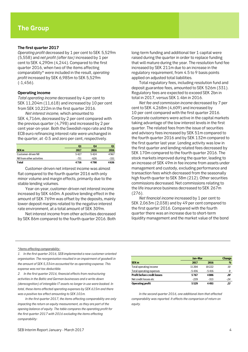## **The first quarter 2017**

*Operating profit* decreased by 1 per cent to SEK 5,529m (5,558) and *net profit (after tax)* increased by 1 per cent to SEK 4,290m (4,244). Compared to the first quarter 2016, when two of the items affecting comparability\* were included in the result, *operating profit* increased by SEK 6,985m to SEK 5,529m (-1,456).

### **Operating income**

*Total operating income* decreased by 4 per cent to SEK 11,204m (11,618) and increased by 10 per cent from SEK 10,222m in the first quarter 2016.

*Net interest income,* which amounted to SEK 4,716m, decreased by 2 per cent compared with the previous quarter (4,798) and increased by 2 per cent year-on-year. Both the Swedish repo rate and the ECB euro refinancing interest rate were unchanged in the quarter, at -0.5 and zero per cent, respectively.

|                           | Ο1     | Q4     | 01   |
|---------------------------|--------|--------|------|
| <b>SEK m</b>              | 2017   | 2016   | 2016 |
| Customer-driven NII       | 5427   | 5424   | 4967 |
| NII from other activities | $-711$ | $-626$ | -331 |
| <b>Total</b>              | 4716   | 4798   | 4636 |

Customer-driven net interest income was almost flat compared to the fourth quarter 2016 with only minor volume and margin effects, primarily due to the stable lending volumes.

Year-on-year, customer-driven net interest income increased by SEK 460m. A positive lending effect in the amount of SEK 769m was offset by the deposits, mainly lower deposit margins related to the negative interest rate environment, at a total amount of SEK 309m.

Net interest income from other activities decreased by SEK 86m compared to the fourth quarter 2016. Both

long-term funding and additional tier 1 capital were raised during the quarter in order to replace funding that will mature during the year. The resolution fund fee increased by SEK 211m due to an increase in the regulatory requirement, from 4.5 to 9 basis points applied on adjusted total liabilities.

Total regulatory fees, including resolution fund and deposit guarantee fees, amounted to SEK 526m (331). Regulatory fees are expected to exceed SEK 2bn in total in 2017, versus SEK 1.4bn in 2016.

*Net fee and commission income* decreased by 7 per cent to SEK 4,268m (4,609) and increased by 10 per cent compared with the first quarter 2016. Corporate customers were active in the capital markets taking advantage of the low interest levels in the first quarter. The related fees from the issue of securities and advisory fees increased by SEK 51m compared to the fourth quarter 2016 and by SEK 132m compared to the first quarter last year. Lending activity was low in the first quarter and lending related fees decreased by SEK 170m compared to the fourth quarter 2016. The stock markets improved during the quarter, leading to an increase of SEK 49m in fee income from assets under management and custody, excluding performance and transaction fees which decreased from the seasonally high fourth quarter to SEK 38m (212). Other securities commissions decreased. Net commissions relating to the life insurance business decreased to SEK 267m (276).

*Net financial income* increased by 1 per cent to SEK 2,063m (2,038) and by 49 per cent compared to the first quarter 2016. Compared with the fourth quarter there was an increase due to short-term liquidity management and the market value of the bond

\**Items affecting comparability:*

*1. In the first quarter 2016, SEB implemented a new customer-oriented organisation. The reorganisation resulted in an impairment of goodwill in the amount of SEK 5,334m accounted for as operating expense. This expense was not tax deductible.* 

*2. In the first quarter 2016, financial effects from restructuring activities in the Baltic and German businesses and a write-down (derecognition) of intangible IT assets no longer in use were booked. In total, these items affected operating expenses by SEK 615m and there was a positive tax effect amounting to SEK 101m.* 

*In the first quarter 2017, the items affecting comparability are only impacting the return on equity measurement, as they are part of the opening balance of equity. The table compares the operating profit for the first quarter 2017 with 2016 excluding the items affecting comparability:* 

|                                    |         | Jan-Mar |       |  |
|------------------------------------|---------|---------|-------|--|
| SEK <sub>m</sub>                   | 2017    | 2016    | %     |  |
| Total operating income             | 11 204  | 10222   | 10    |  |
| Total operating expenses           | $-5436$ | $-5416$ | 0     |  |
| <b>Profit before credit losses</b> | 5767    | 4806    | 20    |  |
| Net credit losses etc              | $-239$  | $-313$  | $-24$ |  |
| <b>Operating profit</b>            | 5529    | 4493    | 23    |  |

*In the second quarter 2016, one additional item that affected comparability was reported. It affects the comparison of return on equity.*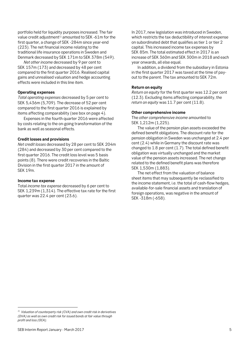portfolio held for liquidity purposes increased. The fair value credit adjustment<sup>1)</sup> amounted to SEK -61m for the first quarter, a change of SEK -284m since year-end (223). The net financial income relating to the traditional life insurance operations in Sweden and Denmark decreased by SEK 171m to SEK 378m (549).

*Net other income* decreased by 9 per cent to SEK 157m (173) and decreased by 48 per cent compared to the first quarter 2016. Realised capital gains and unrealised valuation and hedge accounting effects were included in this line item.

## **Operating expenses**

*Total operating expenses* decreased by 5 per cent to SEK 5,436m (5,709). The decrease of 52 per cent compared to the first quarter 2016 is explained by items affecting comparability (see box on page 4).

Expenses in the fourth quarter 2016 were affected by costs relating to the on-going transformation of the bank as well as seasonal effects.

## **Credit losses and provisions**

*Net credit losses* decreased by 28 per cent to SEK 204m (284) and decreased by 30 per cent compared to the first quarter 2016. The credit loss level was 5 basis points (8). There were credit recoveries in the Baltic Division in the first quarter 2017 in the amount of SEK 19m.

## **Income tax expense**

Total *income tax expense* decreased by 6 per cent to SEK 1,239m (1,314). The effective tax rate for the first quarter was 22.4 per cent (23.6).

In 2017, new legislation was introduced in Sweden, which restricts the tax deductibility of interest expense on subordinated debt that qualifies as tier 1 or tier 2 capital. This increased income tax expenses by SEK 85m. The total estimated effect in 2017 is an increase of SEK 360m and SEK 300m in 2018 and each year onwards, all else equal.

In addition, a dividend from the subsidiary in Estonia in the first quarter 2017 was taxed at the time of payout to the parent. The tax amounted to SEK 72m.

## **Return on equity**

*Return on equity* for the first quarter was 12.2 per cent (12.3). Excluding items affecting comparability, the *return on equity* was 11.7 per cent (11.8).

## **Other comprehensive income**

The *other comprehensive income* amounted to SEK 1,212m (1,225).

The value of the pension plan assets exceeded the defined benefit obligations. The discount rate for the pension obligation in Sweden was unchanged at 2.4 per cent (2.4) while in Germany the discount rate was changed to 1.8 per cent (1.7). The total defined benefit obligation was virtually unchanged and the market value of the pension assets increased. The net change related to the defined benefit plans was therefore SEK 1,530m (1,883).

The net effect from the valuation of balance sheet items that may subsequently be reclassified to the income statement, i.e. the total of cash-flow hedges, available-for-sale financial assets and translation of foreign operations, was negative in the amount of SEK -318m (-658).

 $\overline{a}$ 

*<sup>1)</sup> Valuation of counterparty risk (CVA) and own credit risk in derivatives (DVA) as well as own credit risk for issued bonds at fair value through profit and loss (OCA).*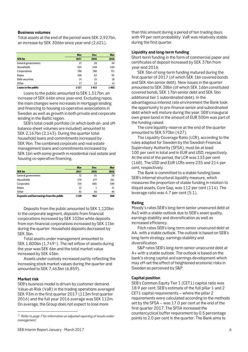## **Business volumes**

Total assets at the end of the period were SEK 2,927bn, an increase by SEK 306bn since year-end (2,621).

|                     | <b>Mar</b> | <b>Dec</b> | <b>Mar</b> |
|---------------------|------------|------------|------------|
| <b>SEK bn</b>       | 2017       | 2016       | 2016       |
| General governments | 27         | 28         | 36         |
| <b>Households</b>   | 554        | 549        | 530        |
| Corporations        | 796        | 786        | 711        |
| Repos               | 109        | 63         | 93         |
| Debt securities     | 14         | 15         | 18         |
| Other               | 17         | 12         | 14         |
| Loans to the public | 1517       | 1453       | 1402       |

Loans to the public amounted to SEK 1,517bn, an increase of SEK 64bn since year-end. Excluding repos, the main changes were increases in mortgage lending and financing to housing co-operative associations in Sweden as well as growth in both private and corporate lending in the Baltic region.

 SEB's total credit portfolio (in which both on- and offbalance sheet volumes are included) amounted to SEK 2,167bn (2,143). During the quarter total household loans and commitments increased by SEK 9bn. The combined corporate and real estate management loans and commitments increased by SEK 1bn with some growth in residential real estate and housing co-operative financing.

|                                         | <b>Mar</b> | <b>Dec</b> | <b>Mar</b> |
|-----------------------------------------|------------|------------|------------|
| <b>SEK bn</b>                           | 2017       | 2016       | 2016       |
| General governments                     | 72         | 35         | 38         |
| Households                              | 274        | 277        | 261        |
| Corporates                              | 719        | 605        | 599        |
| Repos                                   | 12         |            | 21         |
| Other                                   | 43         | 44         | 49         |
| Deposits and borrowings from the public | 1120       | 962        | 968        |

Deposits from the public amounted to SEK 1,120bn. In the corporate segment, deposits from financial corporations increased by SEK 102bn while deposits from non-financial corporations increased by SEK 11bn during the quarter. Household deposits decreased by SEK 3bn.

Total assets under management amounted to SEK 1,800bn (1,749<sup>1)</sup>). The net inflow of assets during the year was SEK 6bn and the total market value increased by SEK 45bn.

Assets under custody increased partly reflecting the increasing stock market values during the quarter and amounted to SEK 7,463bn (6,859).

## **Market risk**

 $\overline{\phantom{a}}$ 

SEB's business model is driven by customer demand. Value-at-Risk (VaR) in the trading operations averaged SEK 93m in the first quarter 2017 (113m first quarter 2016) and the full year 2016 average was SEK 112m. On average, the Group does not expect to lose more

than this amount during a period of ten trading days, with 99 per cent probability. VaR was relatively stable during the first quarter.

## **Liquidity and long-term funding**

Short-term funding in the form of commercial paper and certificates of deposit increased by SEK 37bn from year-end 2016.

SEK 5bn of long-term funding matured during the first quarter of 2017 (of which SEK 1bn covered bonds and SEK 4bn senior debt). New issues in the quarter amounted to SEK 38bn (of which SEK 16bn constituted covered bonds, SEK 17bn senior debt and SEK 5bn additional tier 1 subordinated debt). In the advantageous interest rate environment the Bank took the opportunity to pre-finance senior and subordinated debt which will mature during the year. SEB's inaugural own green bond in the amount of EUR 500m was part of the funding raised.

The core liquidity reserve at the end of the quarter amounted to SEK 570bn (427).

The Liquidity Coverage Ratio (LCR), according to the rules adapted for Sweden by the Swedish Financial Supervisory Authority (SFSA), must be at least 100 per cent in total and in EUR and USD, respectively. At the end of the period, the LCR was 133 per cent (168). The USD and EUR LCRs were 235 and 214 per cent, respectively.

The Bank is committed to a stable funding base. SEB's internal structural liquidity measure, which measures the proportion of stable funding in relation to illiquid assets, Core Gap, was 112 per cent (114). The leverage ratio was 4.7 per cent (5.1).

## **Rating**

Moody's rates SEB's long-term senior unsecured debt at Aa3 with a stable outlook due to SEB's asset quality, earnings stability and diversification as well as increased efficiency.

Fitch rates SEB's long-term senior unsecured debt at AA- with a stable outlook. The outlook is based on SEB's long-term strategy, earnings stability and diversification.

S&P rates SEB's long-term senior unsecured debt at A+ with a stable outlook. The outlook is based on the bank's strong capital and earnings development which may off-set the effect of heightened economic risks in Sweden as perceived by S&P.

## **Capital position**

SEB's Common Equity Tier 1 (CET1) capital ratio was 18.9 per cent. SEB's estimate of the full pillar 1 and 2 CET1 capital requirements – where the pillar 2 requirements were calculated according to the methods set by the SFSA – was 17.0 per cent at the end of the first quarter 2017. The SFSA increased the countercyclical buffer requirement by 0.5 percentage points to 2.0 per cent in the quarter. The Bank aims to

*<sup>1)</sup> Refer to page 7 for information on adjusted reporting of assets under management.*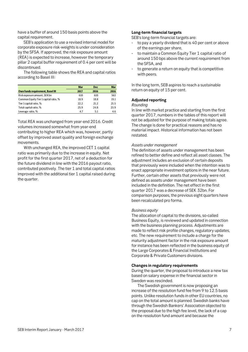have a buffer of around 150 basis points above the capital requirement.

SEB's application to use a revised internal model for corporate exposure risk-weights is under consideration by the SFSA. If approved, the risk exposure amount (REA) is expected to increase, however the temporary pillar 2 capital buffer requirement of 0.4 per cent will be discontinued.

The following table shows the REA and capital ratios according to Basel III:

|                                         | <b>Mar</b> | <b>Dec</b> | <b>Mar</b> |
|-----------------------------------------|------------|------------|------------|
| <b>Own funds requirement, Basel III</b> | 2017       | 2016       | 2016       |
| Risk exposure amount, SEK bn            | 610        | 610        | 563        |
| Common Equity Tier 1 capital ratio, %   | 18.9       | 18.8       | 19.1       |
| Tier 1 capital ratio, %                 | 22.2       | 21.2       | 21.5       |
| Total capital ratio, %                  | 25.9       | 24.8       | 23.9       |
| Leverage ratio, %                       | 4.7        | 5.1        | 4.6        |

Total REA was unchanged from year-end 2016. Credit volumes increased somewhat from year-end contributing to higher REA which was, however, partly offset by improved asset quality and foreign exchange movements.

With unchanged REA, the improved CET 1 capital ratio was primarily due to the increase in equity. Net profit for the first quarter 2017, net of a deduction for the future dividend in line with the 2016 payout ratio, contributed positively. The tier 1 and total capital ratios improved with the additional tier 1 capital raised during the quarter.

## **Long-term financial targets**

SEB's long-term financial targets are:

- to pay a yearly dividend that is 40 per cent or above of the earnings per share,
- to maintain a Common Equity Tier 1 capital ratio of around 150 bps above the current requirement from the SFSA, and
- to generate a return on equity that is competitive with peers.

In the long term, SEB aspires to reach a sustainable return on equity of 15 per cent.

## **Adjusted reporting**

## *Rounding*

In line with market practice and starting from the first quarter 2017, numbers in the tables of this report will not be adjusted for the purpose of making totals agree. The change is done for practical reasons and has no material impact. Historical information has not been restated.

## *Assets under management*

The definition of assets under management has been refined to better define and reflect all asset classes. The adjustment includes an exclusion of certain deposits that previously were included when the intention was to enact appropriate investment options in the near future. Further, certain other assets that previously were not defined as assets under management have been included in the definition. The net effect in the first quarter 2017 was a decrease of SEK 32bn. For comparison purposes, the previous eight quarters have been recalculated pro forma.

## *Business equity*

The allocation of capital to the divisions, so-called Business Equity, is reviewed and updated in connection with the business planning process. Adjustments are made to reflect risk profile changes, regulatory updates, etc. The new requirement to include a charge for the maturity adjustment factor in the risk exposure amount for instance has been reflected in the business equity of the Large Corporates & Financial Institutions and Corporate & Private Customers divisions.

## **Changes in regulatory requirements**

During the quarter, the proposal to introduce a new tax based on salary expense in the financial sector in Sweden was rescinded.

The Swedish government is now proposing an increase of the resolution fund fee from 9 to 12.5 basis points. Unlike resolution funds in other EU countries, no cap on the total amount is planned. Swedish banks have through the Swedish Bankers' Association objected to the proposal due to the high fee level, the lack of a cap on the resolution fund amount and because the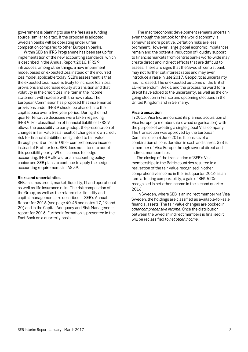government is planning to use the fees as a funding source, similar to a tax. If the proposal is adopted, Swedish banks will be operating under unfair competition compared to other European banks.

Within SEB an IFRS Programme has been set up for implementation of the new accounting standards, which is described in the Annual Report 2016. IFRS 9 introduces, among other things, a new impairment model based on expected loss instead of the incurred loss model applicable today. SEB's assessment is that the expected loss model is likely to increase loan loss provisions and decrease equity at transition and that volatility in the credit loss line item in the income statement will increase with the new rules. The European Commission has proposed that incremental provisions under IFRS 9 should be phased in to the capital base over a five year period. During the first quarter tentative decisions were taken regarding IFRS 9. For classification of financial liabilities IFRS 9 allows the possibility to early adopt the presentation of changes in fair value as a result of changes in own credit risk for financial liabilities designated to fair value through profit or loss in Other comprehensive income instead of Profit or loss. SEB does not intend to adopt this possibility early. When it comes to hedge accounting, IFRS 9 allows for an accounting policy choice and SEB plans to continue to apply the hedge accounting requirements in IAS 39.

## **Risks and uncertainties**

SEB assumes credit, market, liquidity, IT and operational as well as life insurance risks. The risk composition of the Group, as well as the related risk, liquidity and capital management, are described in SEB's Annual Report for 2016 (see page 40-45 and notes 17, 19 and 20) and in the Capital Adequacy and Risk Management report for 2016. Further information is presented in the Fact Book on a quarterly basis.

The macroeconomic development remains uncertain even though the outlook for the world economy is somewhat more positive. Deflation risks are less prominent. However, large global economic imbalances remain and the potential reduction of liquidity support to financial markets from central banks world-wide may create direct and indirect effects that are difficult to assess. There are signs that the Swedish central bank may not further cut interest rates and may even introduce a raise in late 2017. Geopolitical uncertainty has increased. The unexpected outcome of the British EU-referendum, Brexit, and the process forward for a Brexit have added to the uncertainty, as well as the ongoing election in France and upcoming elections in the United Kingdom and in Germany.

## **Visa transaction**

In 2015, Visa Inc. announced its planned acquisition of Visa Europe (a membership-owned organisation) with the purpose of creating a single global Visa company. The transaction was approved by the European Commission on 3 June 2016. It consists of a combination of consideration in cash and shares. SEB is a member of Visa Europe through several direct and indirect memberships.

The closing of the transaction of SEB's Visa memberships in the Baltic countries resulted in a realisation of the fair value recognised in other comprehensive income in the first quarter 2016 as an item affecting comparability, a gain of SEK 520m recognised in net other income in the second quarter 2016.

In Sweden, where SEB is an indirect member via Visa Sweden, the holdings are classified as available-for-sale financial assets. The fair value changes are booked in *other comprehensive income*. Once the distribution between the Swedish indirect members is finalised it will be reclassified to *net other income*.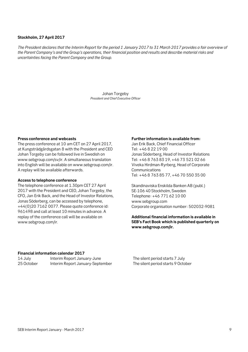## **Stockholm, 27 April 2017**

*The President declares that the Interim Report for the period 1 January 2017 to 31 March 2017 provides a fair overview of the Parent Company's and the Group's operations, their financial position and results and describe material risks and uncertainties facing the Parent Company and the Group.*

> Johan Torgeby *President and Chief Executive Officer*

## **Press conference and webcasts**

The press conference at 10 am CET on 27 April 2017, at Kungsträdgårdsgatan 8 with the President and CEO Johan Torgeby can be followed live in Swedish on www.sebgroup.com/sv/ir. A simultaneous translation into English will be available on www.sebgroup.com/ir. A replay will be available afterwards.

## **Access to telephone conference**

The telephone conference at 1.30pm CET 27 April 2017 with the President and CEO, Johan Torgeby, the CFO, Jan Erik Back, and the Head of Investor Relations, Jonas Söderberg, can be accessed by telephone, +44(0)20 7162 0077. Please quote conference id: 961498 and call at least 10 minutes in advance. A replay of the conference call will be available on www.sebgroup.com/ir.

#### **Further information is available from:**

Jan Erik Back, Chief Financial Officer Tel: +46 8 22 19 00 Jonas Söderberg, Head of Investor Relations Tel: +46 8 763 83 19, +46 73 521 02 66 Viveka Hirdman-Ryrberg, Head of Corporate **Communications** Tel: +46 8 763 85 77, +46 70 550 35 00

Skandinaviska Enskilda Banken AB (publ.) SE-106 40 Stockholm, Sweden Telephone: +46 771 62 10 00 www.sebgroup.com Corporate organisation number: 502032-9081

**Additional financial information is available in SEB's Fact Book which is published quarterly on www.sebgroup.com/ir.** 

## **Financial information calendar 2017**

| 14 July    | Interim Report January-June      |
|------------|----------------------------------|
| 25 October | Interim Report January-September |

The silent period starts 7 July The silent period starts 9 October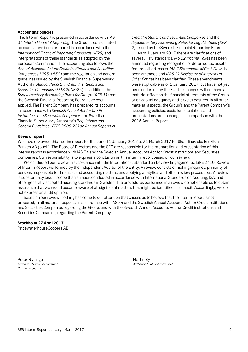## **Accounting policies**

This Interim Report is presented in accordance with IAS 34 *Interim Financial Reporting*. The Group's consolidated accounts have been prepared in accordance with the *International Financial Reporting Standards (IFRS)* and interpretations of these standards as adopted by the European Commission. The accounting also follows the *Annual Accounts Act for Credit Institutions and Securities Companies (1995:1559)* and the regulation and general guidelines issued by the Swedish Financial Supervisory Authority: *Annual Reports in Credit Institutions and Securities Companies (FFFS 2008:*25). In addition, the *Supplementary Accounting Rules for Groups (RFR 1)* from the Swedish Financial Reporting Board have been applied. The Parent Company has prepared its accounts in accordance with *Swedish Annual Act for Credit Institutions and Securities Companies*, the Swedish Financial Supervisory Authority's *Regulations and General Guidelines (FFFS 2008:25) on Annual Reports in*

*Credit Institutions and Securities Companies* and the *Supplementary Accounting Rules for Legal Entities (RFR 2)* issued by the Swedish Financial Reporting Board.

As of 1 January 2017 there are clarifications of several IFRS standards. *IAS 12 Income Taxes* has been amended regarding recognition of deferred tax assets for unrealised losses. *IAS 7 Statements of Cash Flows* has been amended and *IFRS 12 Disclosure of Interests in Other Entities* has been clarified. These amendments were applicable as of 1 January 2017, but have not yet been endorsed by the EU. The changes will not have a material effect on the financial statements of the Group or on capital adequacy and large exposures. In all other material aspects, the Group's and the Parent Company's accounting policies, basis for calculations and presentations are unchanged in comparison with the 2016 Annual Report.

## **Review report**

We have reviewed this interim report for the period 1 January 2017 to 31 March 2017 for Skandinaviska Enskilda Banken AB (publ.). The Board of Directors and the CEO are responsible for the preparation and presentation of this interim report in accordance with IAS 34 and the Swedish Annual Accounts Act for Credit institutions and Securities Companies. Our responsibility is to express a conclusion on this interim report based on our review.

We conducted our review in accordance with the International Standard on Review Engagements, ISRE 2410, Review of Interim Report Performed by the Independent Auditor of the Entity. A review consists of making inquiries, primarily of persons responsible for financial and accounting matters, and applying analytical and other review procedures. A review is substantially less in scope than an audit conducted in accordance with International Standards on Auditing, ISA, and other generally accepted auditing standards in Sweden. The procedures performed in a review do not enable us to obtain assurance that we would become aware of all significant matters that might be identified in an audit. Accordingly, we do not express an audit opinion.

Based on our review, nothing has come to our attention that causes us to believe that the interim report is not prepared, in all material respects, in accordance with IAS 34 and the Swedish Annual Accounts Act for Credit institutions and Securities Companies regarding the Group, and with the Swedish Annual Accounts Act for Credit institutions and Securities Companies, regarding the Parent Company.

## **Stockholm 27 April 2017**

PricewaterhouseCoopers AB

Peter Nyllinge **Martin By**<br> *Authorised Public Accountant* Action Actor Actor Actor Actorised Particle Actor Actor Actor Actor Actor Actor Actor Actor Actor Actor Actor Actor Actor Actor Actor Actor Actor Actor Actor Actor *Partner in charge* 

*Authorised Public Accountant Authorised Public Accountant*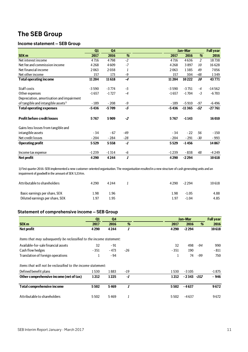## **The SEB Group**

## **Income statement – SEB Group**

|                                                 | Q1      | Q <sub>4</sub> |       |         | Jan-Mar  |       | <b>Full year</b> |
|-------------------------------------------------|---------|----------------|-------|---------|----------|-------|------------------|
| <b>SEK m</b>                                    | 2017    | 2016           | %     | 2017    | 2016     | %     | 2016             |
| Net interest income                             | 4716    | 4798           | $-2$  | 4716    | 4636     | 2     | 18738            |
| Net fee and commission income                   | 4268    | 4609           | $-7$  | 4268    | 3897     | 10    | 16628            |
| Net financial income                            | 2063    | 2038           | 1     | 2063    | 1385     | 49    | 7056             |
| Net other income                                | 157     | 173            | -9    | 157     | 304      | -48   | 1349             |
| <b>Total operating income</b>                   | 11 204  | 11618          | $-4$  | 11 204  | 10222    | 10    | 43771            |
|                                                 |         |                |       |         |          |       |                  |
| Staff costs                                     | $-3590$ | $-3774$        | -5    | $-3590$ | $-3751$  | $-4$  | $-14562$         |
| Other expenses                                  | $-1657$ | $-1727$        | $-4$  | $-1657$ | $-1704$  | $-3$  | $-6703$          |
| Depreciation, amortisation and impairment       |         |                |       |         |          |       |                  |
| of tangible and intangible assets <sup>1)</sup> | $-189$  | $-208$         | -9    | $-189$  | $-5910$  | $-97$ | $-6496$          |
| <b>Total operating expenses</b>                 | $-5436$ | $-5709$        | -5    | $-5436$ | $-11365$ | $-52$ | $-27761$         |
| <b>Profit before credit losses</b>              | 5767    | 5909           | $-2$  | 5767    | $-1143$  |       | 16010            |
| Gains less losses from tangible and             |         |                |       |         |          |       |                  |
| intangible assets                               | $-34$   | $-67$          | $-49$ | - 34    | $-22$    | 56    | - 150            |
| Net credit losses                               | $-204$  | $-284$         | $-28$ | $-204$  | $-291$   | $-30$ | $-993$           |
| <b>Operating profit</b>                         | 5529    | 5558           | -1    | 5529    | $-1456$  |       | 14867            |
| Income tax expense                              | $-1239$ | $-1314$        | -6    | $-1239$ | $-838$   | 48    | $-4249$          |
| Net profit                                      | 4290    | 4244           | 1     | 4290    | $-2294$  |       | 10618            |

1) First quarter 2016: SEB implemented a new customer-oriented organisation. The reorganisation resulted in a new structure of cash generating units and an impairment of goodwill in the amount of SEK 5,334m.

| Attributable to shareholders    | 4290 | 4 2 4 4 |  | 4 2 9 0 | -2294   | 10618 |
|---------------------------------|------|---------|--|---------|---------|-------|
| Basic earnings per share, SEK   | l.98 | 1.96    |  | 1.98    | $-1.05$ | 4.88  |
| Diluted earnings per share, SEK | 1.97 | 1.95    |  | 1.97    | $-1.04$ | 4.85  |

## **Statement of comprehensive income – SEB Group**

|                                                                      | Q1     | Q <sub>4</sub> |       |        | Jan-Mar   |      | <b>Full year</b> |
|----------------------------------------------------------------------|--------|----------------|-------|--------|-----------|------|------------------|
| <b>SEK m</b>                                                         | 2017   | 2016           | %     | 2017   | 2016      | %    | 2016             |
| <b>Net profit</b>                                                    | 4290   | 4244           | 1     | 4290   | $-2294$   |      | 10618            |
| Items that may subsequently be reclassified to the income statement: |        |                |       |        |           |      |                  |
| Available-for-sale financial assets                                  | 32     | $-91$          |       | 32     | 498       | -94  | 990              |
| Cash flow hedges                                                     | $-351$ | - 473          | $-26$ | $-351$ | 190       |      | $-811$           |
| Translation of foreign operations                                    | 1      | - 94           |       | 1      | 74        | -99  | 750              |
| Items that will not be reclassified to the income statement:         |        |                |       |        |           |      |                  |
| Defined benefit plans                                                | 1530   | 1883           | -19   | 1530   | $-3105$   |      | -1 875           |
| Other comprehensive income (net of tax)                              | 1212   | 1225           | -1    | 1212   | - 2 3 4 3 | -152 | - 946            |
| <b>Total comprehensive income</b>                                    | 5502   | 5469           | 1     | 5502   | $-4637$   |      | 9672             |
| Attributable to shareholders                                         | 5502   | 5469           | 1     | 5502   | $-4637$   |      | 9672             |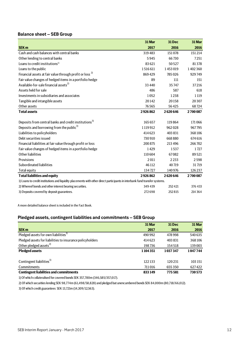## **Balance sheet – SEB Group**

|                                                                                                                             | 31 Mar   | 31 Dec  | 31 Mar  |  |  |  |
|-----------------------------------------------------------------------------------------------------------------------------|----------|---------|---------|--|--|--|
| <b>SEK m</b>                                                                                                                | 2017     | 2016    | 2016    |  |  |  |
| Cash and cash balances with central banks                                                                                   | 319483   | 151078  | 151214  |  |  |  |
| Other lending to central banks                                                                                              | 5945     | 66730   | 7251    |  |  |  |
| Loans to credit institutions $1$                                                                                            | 83 621   | 50527   | 81378   |  |  |  |
| Loans to the public                                                                                                         | 1516611  | 1453019 | 1402360 |  |  |  |
| Financial assets at fair value through profit or loss <sup>2)</sup>                                                         | 869429   | 785026  | 929749  |  |  |  |
| Fair value changes of hedged items in a portfolio hedge                                                                     | 89       | 111     | 151     |  |  |  |
| Available-for-sale financial assets <sup>2)</sup>                                                                           | 33 4 4 0 | 35747   | 37216   |  |  |  |
| Assets held for sale                                                                                                        | 486      | 587     | 618     |  |  |  |
| Investments in subsidiaries and associates                                                                                  | 1052     | 1238    | 1 1 1 9 |  |  |  |
| Tangible and intangible assets                                                                                              | 20142    | 20158   | 20307   |  |  |  |
| Other assets                                                                                                                | 76565    | 56425   | 68724   |  |  |  |
| <b>Total assets</b>                                                                                                         | 2926862  | 2620646 | 2700087 |  |  |  |
|                                                                                                                             |          |         |         |  |  |  |
| Deposits from central banks and credit institutions <sup>3)</sup>                                                           | 165 657  | 119864  | 171066  |  |  |  |
| Deposits and borrowing from the public <sup>3)</sup>                                                                        | 1119912  | 962028  | 967795  |  |  |  |
| Liabilities to policyholders                                                                                                | 414 623  | 403 831 | 368106  |  |  |  |
| Debt securities issued                                                                                                      | 730910   | 668880  | 674 616 |  |  |  |
| Financial liabilities at fair value through profit or loss                                                                  | 200 875  | 213 496 | 266702  |  |  |  |
| Fair value changes of hedged items in a portfolio hedge                                                                     | 1429     | 1537    | 1727    |  |  |  |
| Other liabilities                                                                                                           | 110 604  | 67082   | 89521   |  |  |  |
| Provisions                                                                                                                  | 2011     | 2233    | 2598    |  |  |  |
| Subordinated liabilities                                                                                                    | 46112    | 40719   | 31719   |  |  |  |
| <b>Total equity</b>                                                                                                         | 134727   | 140976  | 126237  |  |  |  |
| <b>Total liabilities and equity</b>                                                                                         | 2926862  | 2620646 | 2700087 |  |  |  |
| 1) Loans to credit institutions and liquidity placements with other direct participants in interbank fund transfer systems. |          |         |         |  |  |  |
| 2) Whereof bonds and other interest bearing securities.                                                                     | 349 439  | 252421  | 376 433 |  |  |  |
| 3) Deposits covered by deposit guarantees.                                                                                  | 272698   | 252815  | 214 364 |  |  |  |

A more detailed balance sheet is included in the Fact Book.

## **Pledged assets, contingent liabilities and commitments – SEB Group**

|                                                           | 31 Mar  | <b>31 Dec</b> | 31 Mar  |
|-----------------------------------------------------------|---------|---------------|---------|
| <b>SEK m</b>                                              | 2017    | 2016          | 2016    |
| Pledged assets for own liabilities <sup>1)</sup>          | 490 992 | 478 998       | 540 635 |
| Pledged assets for liabilities to insurance policyholders | 414623  | 403 831       | 368106  |
| Other pledged assets <sup>2)</sup>                        | 198736  | 154518        | 139 003 |
| <b>Pledged assets</b>                                     | 1104351 | 1037347       | 1047744 |
|                                                           |         |               |         |
| Contingent liabilities <sup>3)</sup>                      | 122133  | 120231        | 103 151 |
| Commitments                                               | 711016  | 655350        | 627422  |
| <b>Contingent liabilities and commitments</b>             | 833149  | 775581        | 730573  |

1) Of which collateralised for covered bonds SEK 357,780m (346,585/357,017).

2) Of which securities lending SEK 98,774m (61,498/58,828) and pledged but unencumbered bonds SEK 84,000m (80,718/66,012).

3) Of which credit guarantees SEK 13,721m (14,309/12,563).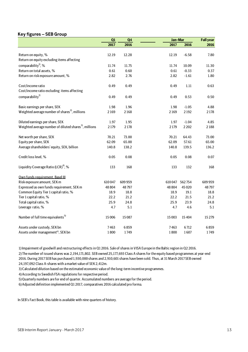## **Key figures – SEB Group**

|                                                                   | Q1     | Q <sub>4</sub> |         | Jan-Mar         |         |
|-------------------------------------------------------------------|--------|----------------|---------|-----------------|---------|
|                                                                   | 2017   | 2016           | 2017    | 2016            | 2016    |
|                                                                   |        |                |         |                 |         |
| Return on equity, %                                               | 12.19  | 12.28          | 12.19   | $-6.58$         | 7.80    |
| Return on equity excluding items affecting                        |        |                |         |                 |         |
| comparability <sup>1</sup> , %                                    | 11.74  | 11.75          | 11.74   | 10.09           | 11.30   |
| Return on total assets, %                                         | 0.61   | 0.60           | 0.61    | $-0.33$         | 0.37    |
| Return on risk exposure amount, %                                 | 2.82   | 2.76           | 2.82    | $-1.61$         | 1.80    |
| Cost/income ratio                                                 | 0.49   | 0.49           | 0.49    | 1.11            | 0.63    |
| Cost/income ratio excluding items affecting                       |        |                |         |                 |         |
| comparability <sup>1)</sup>                                       | 0.49   | 0.49           | 0.49    | 0.53            | 0.50    |
| Basic earnings per share, SEK                                     | 1.98   | 1.96           | 1.98    | $-1.05$         | 4.88    |
| Weighted average number of shares <sup>2</sup> , millions         | 2169   | 2168           | 2169    | 2192            | 2178    |
| Diluted earnings per share, SEK                                   | 1.97   | 1.95           | 1.97    | $-1.04$         | 4.85    |
| Weighted average number of diluted shares <sup>3</sup> , millions | 2179   | 2178           | 2 1 7 9 | 2202            | 2188    |
| Net worth per share, SEK                                          | 70.21  | 73.00          | 70.21   | 64.43           | 73.00   |
| Equity per share, SEK                                             | 62.09  | 65.00          | 62.09   | 57.61           | 65.00   |
| Average shareholders' equity, SEK, billion                        | 140.8  | 138.2          | 140.8   | 139.5           | 136.2   |
| Credit loss level, %                                              | 0.05   | 0.08           | 0.05    | 0.08            | 0.07    |
| Liquidity Coverage Ratio (LCR) <sup>4)</sup> , %                  | 133    | 168            | 133     | 132             | 168     |
| Own funds requirement. Basel III                                  |        |                |         |                 |         |
| Risk exposure amount, SEK m                                       | 610047 | 609 959        |         | 610 047 562 754 | 609959  |
| Expressed as own funds requirement, SEK m                         | 48 804 | 48797          | 48 804  | 45 0 20         | 48797   |
| Common Equity Tier 1 capital ratio, %                             | 18.9   | 18.8           | 18.9    | 19.1            | 18.8    |
| Tier 1 capital ratio, %                                           | 22.2   | 21.2           | 22.2    | 21.5            | 21.2    |
| Total capital ratio, %                                            | 25.9   | 24.8           | 25.9    | 23.9            | 24.8    |
| Leverage ratio, %                                                 | 4.7    | 5.1            | 4.7     | 4.6             | 5.1     |
| Number of full time equivalents <sup>5)</sup>                     | 15 006 | 15087          | 15 003  | 15404           | 15 2 79 |
| Assets under custody, SEK bn                                      | 7463   | 6859           | 7463    | 6712            | 6859    |
| Assets under management <sup>6)</sup> , SEK bn                    | 1800   | 1749           | 1800    | 1607            | 1749    |

1) Impairment of goodwill and restructuring effects in Q1 2016. Sale of shares in VISA Europe in the Baltic region in Q2 2016.

2) The number of issued shares was 2,194,171,802. SEB owned 25,177,693 Class A shares for the equity based programmes at year-end 2016. During 2017 SEB has purchased 1,930,000 shares and 2,910,601 shares have been sold. Thus, at 31 March 2017 SEB owned 24,197,092 Class A-shares with a market value of SEK 2,412m.

3) Calculated dilution based on the estimated economic value of the long-term incentive programmes.

4) According to Swedish FSA regulations for respective period.

5) Quarterly numbers are for end of quarter. Accumulated numbers are average for the period.

6) Adjusted definition implemented Q1 2017, comparatives 2016 calculated pro forma.

In SEB's Fact Book, this table is available with nine quarters of history.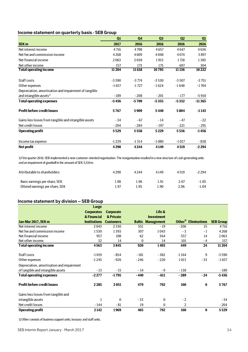## **Income statement on quarterly basis - SEB Group**

|                                                       | Q1      | Q <sub>4</sub> | Q <sub>3</sub> | Q <sub>2</sub> | Q <sub>1</sub> |
|-------------------------------------------------------|---------|----------------|----------------|----------------|----------------|
| <b>SEK m</b>                                          | 2017    | 2016           | 2016           | 2016           | 2016           |
| Net interest income                                   | 4716    | 4798           | 4657           | 4647           | 4636           |
| Net fee and commission income                         | 4268    | 4609           | 4048           | 4074           | 3897           |
| Net financial income                                  | 2063    | 2038           | 1915           | 1718           | 1385           |
| Net other income                                      | 157     | 173            | 175            | 697            | 304            |
| <b>Total operating income</b>                         | 11 204  | 11618          | 10795          | 11 136         | 10222          |
| Staff costs                                           | $-3590$ | $-3774$        | $-3530$        | $-3507$        | $-3751$        |
| Other expenses                                        | $-1657$ | $-1727$        | $-1624$        | $-1648$        | $-1704$        |
| Depreciation, amortisation and impairment of tangible |         |                |                |                |                |
| and intangible assets <sup>1)</sup>                   | $-189$  | $-208$         | $-201$         | $-177$         | $-5910$        |
| <b>Total operating expenses</b>                       | $-5436$ | $-5709$        | $-5355$        | $-5332$        | $-11365$       |
| <b>Profit before credit losses</b>                    | 5767    | 5909           | 5440           | 5804           | $-1143$        |
| Gains less losses from tangible and intangible assets | $-34$   | $-67$          | $-14$          | $-47$          | $-22$          |
| Net credit losses                                     | $-204$  | $-284$         | $-197$         | $-221$         | $-291$         |
| <b>Operating profit</b>                               | 5529    | 5558           | 5229           | 5536           | $-1456$        |
| Income tax expense                                    | $-1239$ | $-1314$        | $-1080$        | $-1017$        | - 838          |
| <b>Net profit</b>                                     | 4290    | 4244           | 4149           | 4519           | $-2294$        |

1) First quarter 2016: SEB implemented a new customer-oriented organisation. The reorganisation resulted in a new structure of cash generating units and an impairment of goodwill in the amount of SEK 5,334m.

| Attributable to shareholders    | 4 2 9 0 | 4244 | 4149 | 4519 | $-2294$ |
|---------------------------------|---------|------|------|------|---------|
| Basic earnings per share, SEK   | 1.98    | 1.96 | l.91 | 2.07 | $-1.05$ |
| Diluted earnings per share, SEK | 1.97    | l.95 | 90،، | 2.06 | $-1.04$ |

## **Income statement by division – SEB Group**

|                                           | <b>Large</b>        |                  |        |                          |                     |                     |                  |
|-------------------------------------------|---------------------|------------------|--------|--------------------------|---------------------|---------------------|------------------|
|                                           | <b>Corporates</b>   | <b>Corporate</b> |        | Life &                   |                     |                     |                  |
|                                           | & Financial         | & Private        |        | <b>Investment</b>        |                     |                     |                  |
| <b>Jan-Mar 2017, SEK m</b>                | <b>Institutions</b> | <b>Customers</b> |        | <b>Baltic Management</b> | Other <sup>1)</sup> | <b>Eliminations</b> | <b>SEB Group</b> |
| Net interest income                       | 2043                | 2330             | 551    | $-19$                    | $-206$              | 15                  | 4716             |
| Net fee and commission income             | 1530                | 1393             | 307    | 1043                     | $-3$                | $-1$                | 4268             |
| Net financial income                      | 957                 | 108              | 62     | 364                      | 557                 | 14                  | 2063             |
| Net other income                          | 32                  | 14               | 0      | 14                       | 101                 | - 4                 | 157              |
| <b>Total operating income</b>             | 4563                | 3845             | 920    | 1403                     | 449                 | 24                  | 11 204           |
|                                           |                     |                  |        |                          |                     |                     |                  |
| Staff costs                               | $-1019$             | $-854$           | $-181$ | $-382$                   | $-1164$             | 9                   | $-3590$          |
| Other expenses                            | $-1245$             | $-926$           | $-246$ | $-220$                   | 1013                | $-33$               | $-1657$          |
| Depreciation, amortisation and impairment |                     |                  |        |                          |                     |                     |                  |
| of tangible and intangible assets         | $-13$               | - 15             | $-14$  | $-9$                     | $-138$              |                     | - 189            |
| <b>Total operating expenses</b>           | $-2277$             | $-1795$          | $-440$ | $-611$                   | $-289$              | $-24$               | $-5436$          |
| <b>Profit before credit losses</b>        | 2285                | 2051             | 479    | 792                      | 160                 | 0                   | 5767             |
| Gains less losses from tangible and       |                     |                  |        |                          |                     |                     |                  |
| intangible assets                         | 1                   | $\bf{0}$         | $-33$  | $\bf{0}$                 | $-2$                |                     | $-34$            |
| Net credit losses                         | $-144$              | $-81$            | 19     | $\mathbf{0}$             | $\overline{2}$      |                     | $-204$           |
| <b>Operating profit</b>                   | 2142                | 1969             | 465    | 792                      | 160                 | $\bf{0}$            | 5529             |

1) Other consists of business support units, treasury and staff units.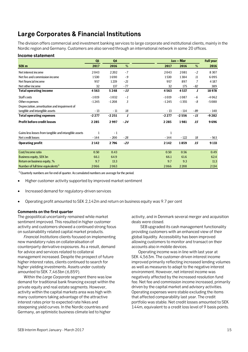## **Large Corporates & Financial Institutions**

The division offers commercial and investment banking services to large corporate and institutional clients, mainly in the Nordic region and Germany. Customers are also served through an international network in some 20 offices.

## **Income statement**

|                                                       | Q1      | Q <sub>4</sub> |                  |         | Jan - Mar |       | <b>Full year</b> |
|-------------------------------------------------------|---------|----------------|------------------|---------|-----------|-------|------------------|
| SEK <sub>m</sub>                                      | 2017    | 2016           | %                | 2017    | 2016      | %     | 2016             |
| Net interest income                                   | 2043    | 2 2 0 2        | $-7$             | 2043    | 2081      | $-2$  | 8 3 0 7          |
| Net fee and commission income                         | 1530    | 1690           | $-9$             | 1530    | 1384      | 11    | 6095             |
| Net financial income                                  | 957     | 1219           | $-21$            | 957     | 897       | 7     | 4 1 8 7          |
| Net other income                                      | 32      | 137            | $-77$            | 32      | 175       | $-82$ | 389              |
| <b>Total operating income</b>                         | 4563    | 5248           | $-13$            | 4563    | 4537      | 1     | 18978            |
| Staff costs                                           | $-1019$ | $-1032$        | $-1$             | $-1019$ | $-1087$   | $-6$  | $-4062$          |
| Other expenses                                        | $-1245$ | $-1208$        | 3                | $-1245$ | $-1355$   | - 8   | $-5080$          |
| Depreciation, amortisation and impairment of          |         |                |                  |         |           |       |                  |
| tangible and intangible assets                        | $-13$   | $-11$          | 18               | $-13$   | $-114$    | - 89  | - 140            |
| <b>Total operating expenses</b>                       | $-2277$ | $-2251$        | $\boldsymbol{l}$ | $-2277$ | $-2556$   | - 11  | $-9282$          |
| <b>Profit before credit losses</b>                    | 2285    | 2997           | $-24$            | 2285    | 1981      | 15    | 9696             |
| Gains less losses from tangible and intangible assets | 1       | $-1$           |                  | 1       |           |       |                  |
| Net credit losses                                     | $-144$  | $-200$         | $-28$            | $-144$  | $-122$    | 18    | $-563$           |
| <b>Operating profit</b>                               | 2 1 4 2 | 2796           | $-23$            | 2 1 4 2 | 1859      | 15    | 9 1 3 3          |
| Cost/Income ratio                                     | 0.50    | 0.43           |                  | 0.50    | 0.56      |       | 0.49             |
| <b>Business equity, SEK bn</b>                        | 66.1    | 64.9           |                  | 66.1    | 61.6      |       | 62.4             |
| Return on business equity, %                          | 9.7     | 13.3           |                  | 9.7     | 9.3       |       | 11.3             |
| Number of full time equivalents <sup>1)</sup>         | 2066    | 2063           |                  | 2066    | 2208      |       | 2 1 3 4          |

<sup>1)</sup> Quarterly numbers are for end of quarter. Accumulated numbers are average for the period.

- Higher customer activity supported by improved market sentiment
- Increased demand for regulatory-driven services
- Operating profit amounted to SEK 2,142m and return on business equity was 9.7 per cent

## **Comments on the first quarter**

The geopolitical uncertainty remained while market sentiment improved. This resulted in higher customer activity and customers showed a continued strong focus on sustainability related capital market products.

*Financial Institutions* clients focused on implementing new mandatory rules on collateralisation of counterparty derivative exposures. As a result, demand for advice and services related to collateral management increased. Despite the prospect of future higher interest rates, clients continued to search for higher yielding investments. Assets under custody amounted to SEK 7,463bn (6,859).

Within the *Large Corporate* segment there was low demand for traditional bank financing except within the private equity and real estate segments. However, activity within the capital markets area was high with many customers taking advantage of the attractive interest rates prior to expected rate hikes and steepening yield curves. In the Nordic countries and Germany, an optimistic business climate led to higher

activity, and in Denmark several merger and acquisition deals were closed.

SEB upgraded its cash management functionality providing customers with an enhanced view of their global liquidity. Accessibility has been improved allowing customers to monitor and transact on their accounts also in mobile devices.

 Operating income was in line with last year at SEK 4,563m. The customer-driven interest income improved primarily reflecting increased lending volumes as well as measures to adapt to the negative interest environment. However, net interest income was negatively affected by the increased resolution fund fee. Net fee and commission income increased, primarily driven by the capital market and advisory activities. Operating expenses were stable excluding the items that affected comparability last year. The credit portfolio was stable. Net credit losses amounted to SEK 144m, equivalent to a credit loss level of 9 basis points.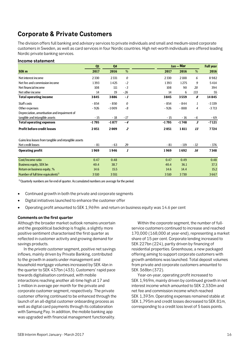## **Corporate & Private Customers**

The division offers full banking and advisory services to private individuals and small and medium-sized corporate customers in Sweden, as well as card services in four Nordic countries. High net-worth individuals are offered leading Nordic private banking services.

## **Income statement**

|                                                       | Q1      | Q <sub>4</sub> |                  |         | Jan - Mar |                            | <b>Full year</b> |
|-------------------------------------------------------|---------|----------------|------------------|---------|-----------|----------------------------|------------------|
| SEK <sub>m</sub>                                      | 2017    | 2016           | %                | 2017    | 2016      | %                          | 2016             |
| Net interest income                                   | 2330    | 2331           | 0                | 2330    | 2188      | 6                          | 8982             |
| Net fee and commission income                         | 1393    | 1425           | $-2$             | 1393    | 1275      | 9                          | 5414             |
| Net financial income                                  | 108     | 111            | $-3$             | 108     | 90        | 20                         | 394              |
| Net other income                                      | 14      | 19             | $-26$            | 14      | 6         | 133                        | 55               |
| <b>Total operating income</b>                         | 3845    | 3886           | $-1$             | 3845    | 3559      | 8                          | 14845            |
| Staff costs                                           | $-854$  | $-850$         | 0                | - 854   | $-844$    | 1                          | $-3339$          |
| Other expenses                                        | $-926$  | $-1009$        | - 8              | $-926$  | $-888$    | 4                          | $-3713$          |
| Depreciation, amortisation and impairment of          |         |                |                  |         |           |                            |                  |
| tangible and intangible assets                        | $-15$   | $-18$          | $-17$            | $-15$   | $-16$     | $-6$                       | - 69             |
| <b>Total operating expenses</b>                       | $-1795$ | $-1877$        | $-4$             | $-1795$ | $-1748$   | $\boldsymbol{\mathcal{S}}$ | $-7121$          |
| <b>Profit before credit losses</b>                    | 2051    | 2009           | $\overline{z}$   | 2051    | 1811      | 13                         | 7724             |
| Gains less losses from tangible and intangible assets |         |                |                  |         |           |                            |                  |
| Net credit losses                                     | $-81$   | $-63$          | 29               | $-81$   | $-119$    | $-32$                      | - 376            |
| <b>Operating profit</b>                               | 1969    | 1946           | $\boldsymbol{l}$ | 1969    | 1692      | 16                         | 7348             |
| Cost/Income ratio                                     | 0.47    | 0.48           |                  | 0.47    | 0.49      |                            | 0.48             |
| Business equity, SEK bn                               | 40.4    | 38.7           |                  | 40.4    | 36.1      |                            | 37.3             |
| Return on business equity, %                          | 14.6    | 15.5           |                  | 14.6    | 14.4      |                            | 15.2             |
| Number of full time equivalents <sup>1)</sup>         | 3510    | 3551           |                  | 3510    | 3730      |                            | 3667             |

 $1)$  Quarterly numbers are for end of quarter. Accumulated numbers are average for the period.

- Continued growth in both the private and corporate segments
- Digital initiatives launched to enhance the customer offer
- Operating profit amounted to SEK 1,969m and return on business equity was 14.6 per cent

## **Comments on the first quarter**

Although the broader market outlook remains uncertain and the geopolitical backdrop is fragile, a slightly more positive sentiment characterised the first quarter as reflected in customer activity and growing demand for savings products.

In the *private customer* segment, positive net savings inflows, mainly driven by Private Banking, contributed to the growth in assets under management and household mortgage volumes increased by SEK 4bn in the quarter to SEK 437bn (433). Customers' rapid pace towards digitalisation continued, with mobile interactions reaching another all-time high at 17 and 1 million in average per month for the private and corporate customer segment, respectively. The private customer offering continued to be enhanced through the launch of an all-digital customer onboarding process as well as digital card payments through its collaboration with Samsung Pay. In addition, the mobile banking app was upgraded with financial management functionality.

Within the *corporate* segment, the number of fullservice customers continued to increase and reached 170,000 (168,000 at year-end), representing a market share of 15 per cent. Corporate lending increased to SEK 227bn (224), partly driven by financing of residential properties. Greenhouse, a new packaged offering aiming to support corporate customers with growth ambitions was launched. Total deposit volumes from private and corporate customers amounted to SEK 368bn (372).

Year-on-year, operating profit increased to SEK 1,969m, mainly driven by continued growth in net interest income which amounted to SEK 2,330m and net fee and commission income which reached SEK 1,393m. Operating expenses remained stable at SEK 1,795m and credit losses decreased to SEK 81m, corresponding to a credit loss level of 5 basis points.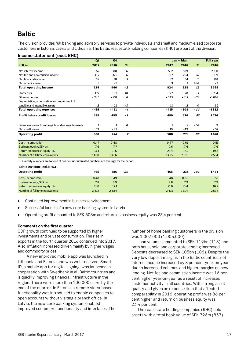## **Baltic**

The division provides full banking and advisory services to private individuals and small and medium-sized corporate customers in Estonia, Latvia and Lithuania. The Baltic real estate holding companies (RHC) are part of the division.

## **Income statement (excl. RHC)**

|                                                       | Q1           | Q4           |                |        | $Jan - Mar$    |       | <b>Full year</b> |
|-------------------------------------------------------|--------------|--------------|----------------|--------|----------------|-------|------------------|
| SEK <sub>m</sub>                                      | 2017         | 2016         | %              | 2017   | 2016           | %     | 2016             |
| Net interest income                                   | 552          | 588          | $-6$           | 552    | 509            | 8     | 2 1 5 0          |
| Net fee and commission income                         | 307          | 325          | - 6            | 307    | 264            | 16    | 1171             |
| Net financial income                                  | 62           | 38           | 63             | 62     | 54             | 15    | 218              |
| Net other income                                      | 3            | $-5$         |                | 3      | $\mathbf{1}$   | 200   | $-1$             |
| <b>Total operating income</b>                         | 924          | 946          | $-2$           | 924    | 828            | 12    | 3538             |
| Staff costs                                           | $-177$       | $-197$       | $-10$          | $-177$ | $-178$         | $-1$  | $-734$           |
| Other expenses                                        | $-245$       | $-231$       | 6              | $-245$ | $-317$         | $-23$ | $-1016$          |
| Depreciation, amortisation and impairment of          |              |              |                |        |                |       |                  |
| tangible and intangible assets                        | $-13$        | $-23$        | $-43$          | $-13$  | $-13$          | 0     | - 62             |
| <b>Total operating expenses</b>                       | $-435$       | $-451$       | $-4$           | $-435$ | $-508$         | $-14$ | $-1812$          |
| <b>Profit before credit losses</b>                    | 489          | 495          | - 1            | 489    | 320            | 53    | 1726             |
| Gains less losses from tangible and intangible assets | $\mathbf{1}$ | $\mathbf{1}$ | 0              | 1      | $\overline{2}$ | $-50$ | 9                |
| Net credit losses                                     | 19           | $-22$        |                | 19     | $-49$          |       | - 57             |
| <b>Operating profit</b>                               | 508          | 474          | $\overline{z}$ | 508    | 273            | 86    | 1678             |
| Cost/Income ratio                                     | 0.47         | 0.48         |                | 0.47   | 0.61           |       | 0.51             |
| <b>Business equity, SEK bn</b>                        | 7.6          | 7.7          |                | 7.6    | 7.6            |       | 7.6              |
| Return on business equity, %                          | 23.4         | 21.6         |                | 23.4   | 12.7           |       | 19.3             |
| Number of full time equivalents <sup>1)</sup>         | 2408         | 2456         |                | 2405   | 2575           |       | 2534             |

<sup>1)</sup> Quarterly numbers are for end of quarter. Accumulated numbers are average for the period.

#### **Baltic Division (incl. RHC)**

| <b>Operating profit</b>                       | 465  | 386  | 20 | 465  | 233  | <i><b>100</b></i> | 1451 |
|-----------------------------------------------|------|------|----|------|------|-------------------|------|
| Cost/Income ratio                             | 0.48 | 0.49 |    | 0.48 | 0.63 |                   | 0.53 |
| <b>Business equity, SEK bn</b>                | 7.8  | 7.9  |    | 7.8  | 7.9  |                   | 7.9  |
| Return on business equity, %                  | 21.0 | 17.1 |    | 21.0 | 10.4 |                   | 16.2 |
| Number of full time equivalents <sup>1)</sup> | 2433 | 2484 |    | 2431 | 2607 |                   | 2565 |

- Continued improvement in business environment
- Successful launch of a new core banking system in Latvia
- Operating profit amounted to SEK 508m and return on business equity was 23.4 per cent

## **Comments on the first quarter**

GDP growth continued to be supported by higher investments and private consumption. The rise in exports in the fourth quarter 2016 continued into 2017. Also, inflation increased driven mainly by higher wages and commodity prices.

A new improved mobile app was launched in Lithuania and Estonia and was well received. Smart ID, a mobile app for digital signing, was launched in cooperation with Swedbank in all Baltic countries and is quickly improving financial infrastructure in the region. There were more than 100,000 users by the end of the quarter. In Estonia, a remote video-based functionality was introduced to enable companies to open accounts without visiting a branch office. In Latvia, the new core banking system enabled improved customers functionality and interfaces. The

number of home banking customers in the division was 1,007,000 (1,003,000).

Loan volumes amounted to SEK 119bn (118) and both household and corporate lending increased. Deposits decreased to SEK 105bn (106). Despite the very low deposit margins in the Baltic countries, net interest income increased by 8 per cent year-on-year due to increased volumes and higher margins on new lending. Net fee and commission income was 16 per cent higher year-on-year as a result of increased customer activity in all countries. With strong asset quality and given an expense item that affected comparability in 2016, operating profit was 86 per cent higher and return on business equity was 23.4 per cent.

The real estate holding companies (RHC) held assets with a total book value of SEK 726m (837).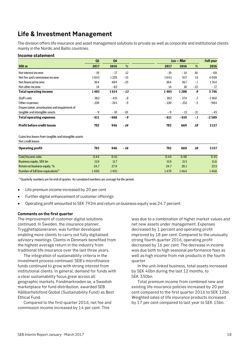## **Life & Investment Management**

The division offers life insurance and asset management solutions to private as well as corporate and institutional clients mainly in the Nordic and Baltic countries.

## **Income statement**

|                                                                            | Q1     | Q <sub>4</sub> |       |        | Jan - Mar |       | <b>Full year</b> |
|----------------------------------------------------------------------------|--------|----------------|-------|--------|-----------|-------|------------------|
| SEK <sub>m</sub>                                                           | 2017   | 2016           | %     | 2017   | 2016      | %     | 2016             |
| Net interest income                                                        | $-19$  | $-17$          | 12    | $-19$  | $-14$     | 36    | $-60$            |
| Net fee and commission income                                              | 1043   | 1229           | $-15$ | 1043   | 917       | 14    | 4059             |
| Net financial income                                                       | 364    | 484            | $-25$ | 364    | 367       | $-1$  | 1764             |
| Net other income                                                           | 14     | $-82$          |       | 14     | 18        | $-22$ | $-17$            |
| <b>Total operating income</b>                                              | 1403   | 1614           | $-13$ | 1403   | 1288      | 9     | 5746             |
| Staff costs                                                                | $-382$ | $-415$         | $-8$  | $-382$ | $-374$    | 2     | $-1560$          |
| Other expenses                                                             | $-220$ | $-243$         | $-9$  | $-220$ | $-232$    | $-5$  | - 984            |
| Depreciation, amortisation and impairment of                               |        |                |       |        |           |       |                  |
| tangible and intangible assets                                             | $-9$   | $-10$          | $-10$ | $-9$   | $-13$     | $-31$ | - 45             |
| <b>Total operating expenses</b>                                            | $-611$ | $-668$         | - 9   | $-611$ | $-619$    | $-1$  | $-2589$          |
| <b>Profit before credit losses</b>                                         | 792    | 946            | $-16$ | 792    | 669       | 18    | 3157             |
| Gains less losses from tangible and intangible assets<br>Net credit losses |        |                |       |        |           |       |                  |
| <b>Operating profit</b>                                                    | 792    | 946            | $-16$ | 792    | 669       | 18    | 3157             |
| Cost/Income ratio                                                          | 0.44   | 0.41           |       | 0.44   | 0.48      |       | 0.45             |
| <b>Business equity, SEK bn</b>                                             | 11.0   | 11.7           |       | 11.0   | 11.5      |       | 11.6             |
| Return on business equity, %                                               | 24.7   | 27.9           |       | 24.7   | 20.1      |       | 23.5             |
| Number of full time equivalents <sup>1)</sup>                              | 1490   | 1491           |       | 1479   | 1464      |       | 1468             |

<sup>1)</sup> Quarterly numbers are for end of quarter. Accumulated numbers are average for the period.

- Life premium income increased by 20 per cent
- Further digital enhancement of customer offerings
- Operating profit amounted to SEK 792m and return on business equity was 24.7 percent.

## **Comments on the first quarter**

The improvement of customer digital solutions continued. In Sweden, the insurance planner, Trygghetsplaneraren, was further developed enabling more clients to carry out fully digitalised advisory meetings. Clients in Denmark benefited from the highest average return in the industry from traditional life insurance over the last three years.

 The integration of sustainability criteria in the investment process continued. SEB's microfinance funds continued to grow with strong interest from institutional clients. In general, demand for funds with a clear sustainability focus grew across all geographic markets. Fondmarknaden.se, a Swedish marketplace for fund distribution, awarded SEB Hållbarhetsfond Global (Sustainability Fund) as Best Ethical Fund.

Compared to the first quarter 2016, net fee and commission income increased by 14 per cent. This

was due to a combination of higher market values and net new assets under management. Expenses decreased by 1 percent and operating profit improved by 18 per cent. Compared to the unusually strong fourth quarter 2016, operating profit decreased by 16 per cent. The decrease in income was due both to high seasonal performance fees as well as high income from risk products in the fourth quarter.

In the unit-linked business, total assets increased by SEK 40bn during the last 12 months, to SEK 330bn.

Total premium income from combined new and existing life insurance policies increased by 20 per cent compared to the first quarter 2016 to SEK 12bn. Weighted sales of life insurance products increased by 17 per cent compared to last year to SEK 15bn.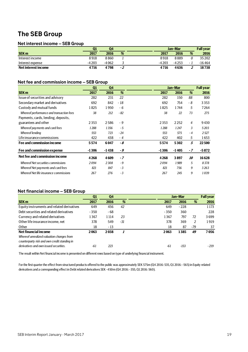## **The SEB Group**

## **Net interest income – SEB Group**

|                     | Q1      | Q4    |     |        | Jan-Mar  |     | <b>Full year</b> |
|---------------------|---------|-------|-----|--------|----------|-----|------------------|
| <b>SEK m</b>        | 2017    | 2016  | %   | 2017   | 2016     | %   | 2016             |
| Interest income     | 8918    | 8860  |     | 8918   | 8889     | 0   | 35 202           |
| Interest expense    | $-4203$ | -4062 |     | -4 203 | -4 2 5 3 | - 1 | $-16464$         |
| Net interest income | 4716    | 4798  | - 2 | 4716   | 4636     |     | 18738            |

## **Net fee and commission income – SEB Group**

|                                           | Q1      | Q <sub>4</sub> |       |         | Jan-Mar |                  | <b>Full year</b> |
|-------------------------------------------|---------|----------------|-------|---------|---------|------------------|------------------|
| <b>SEK m</b>                              | 2017    | 2016           | %     | 2017    | 2016    | %                | 2016             |
| Issue of securities and advisory          | 282     | 231            | 22    | 282     | 150     | 88               | 800              |
| Secondary market and derivatives          | 692     | 842            | - 18  | 692     | 754     | - 8              | 3353             |
| Custody and mutual funds                  | 1825    | 1950           | - 6   | 1825    | 1744    | 5                | 7264             |
| Whereof performance and transaction fees  | 38      | 212            | - 82  | 38      | 22      | 73               | 275              |
| Payments, cards, lending, deposits,       |         |                |       |         |         |                  |                  |
| guarantees and other                      | 2353    | 2586           | - 9   | 2353    | 2252    | $\overline{4}$   | 9430             |
| Whereof payments and card fees            | 1288    | 1356           | - 5   | 1288    | 1247    | 3                | 5203             |
| Whereof lending                           | 553     | 723            | $-24$ | 553     | 575     | $-4$             | 2527             |
| Life insurance commissions                | 422     | 438            | - 4   | 422     | 402     | 5                | 1653             |
| Fee and commission income                 | 5574    | 6047           | - 8   | 5574    | 5302    | 5                | 22500            |
| Fee and commission expense                | $-1306$ | $-1438$        | - 9   | $-1306$ | $-1405$ | $-7$             | $-5872$          |
| Net fee and commission income             | 4268    | 4609           | - 7   | 4268    | 3897    | <i><b>10</b></i> | 16628            |
| <b>Whereof Net securities commissions</b> | 2094    | 2308           | $-9$  | 2094    | 1989    | 5                | 8378             |
| Whereof Net payments and card fees        | 821     | 847            | $-3$  | 821     | 756     | 9                | 3263             |
| Whereof Net life insurance commissions    | 267     | 276            | -3    | 267     | 245     | 9                | 1039             |

## **Net financial income – SEB Group**

|                                              | Q <sub>1</sub> | Q4      |       |        | Jan-Mar |     | <b>Full year</b> |
|----------------------------------------------|----------------|---------|-------|--------|---------|-----|------------------|
| <b>SEK m</b>                                 | 2017           | 2016    | %     | 2017   | 2016    | %   | 2016             |
| Equity instruments and related derivatives   | 649            | 456     | 42    | 649    | $-228$  |     | 1 1 7 3          |
| Debt securities and related derivatives      | $-350$         | - 68    |       | $-350$ | 360     |     | 228              |
| Currency and related derivatives             | 1367           | 1 1 1 4 | 23    | 1367   | 797     | 72  | 3699             |
| Other life insurance income, net             | 378            | 549     | $-31$ | 378    | 369     |     | 1919             |
| Other                                        | 18             | $-13$   |       | 18     | 87      | -79 | 37               |
| Net financial income                         | 2063           | 2038    |       | 2063   | 1385    | 49  | 7056             |
| Whereof unrealized valuation changes from    |                |         |       |        |         |     |                  |
| counterparty risk and own credit standing in |                |         |       |        |         |     |                  |
| derivatives and own issued securities.       | -61            | 223     |       | -61    | -153    |     | $-219$           |

The result within Net financial income is presented on different rows based on type of underlying financial instrument.

For the first quarter the effect from structured products offered to the public was approximately SEK 575m (Q4 2016: 535, Q1 2016: -565) in Equity related derivatives and a corresponding effect in Debt related derivatives SEK -450m (Q4 2016: -355, Q1 2016: 560).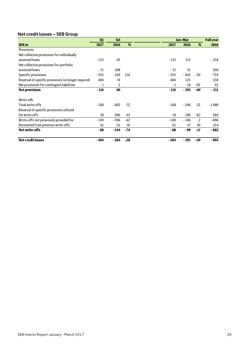## **Net credit losses – SEB Group**

|                                                    | Q1     | Q <sub>4</sub> |       |        | Jan-Mar |       | <b>Full year</b> |
|----------------------------------------------------|--------|----------------|-------|--------|---------|-------|------------------|
| <b>SEK m</b>                                       | 2017   | 2016           | %     | 2017   | 2016    | %     | 2016             |
| Provisions:                                        |        |                |       |        |         |       |                  |
| Net collective provisions for individually         |        |                |       |        |         |       |                  |
| assessed loans                                     | $-133$ | 45             |       | $-133$ | 113     |       | $-218$           |
| Net collective provisions for portfolio            |        |                |       |        |         |       |                  |
| assessed loans                                     | $-31$  | 108            |       | $-31$  | 31      |       | 260              |
| Specific provisions                                | $-355$ | $-169$         | 110   | $-355$ | - 443   | $-20$ | - 734            |
| Reversal of specific provisions no longer required | 404    | 74             |       | 404    | 125     |       | 338              |
| Net provisions for contingent liabilities          | $-1$   | 2              |       | - 1    | $-18$   | -95   | 43               |
| <b>Net provisions</b>                              | $-116$ | 60             |       | $-116$ | $-192$  | -40   | $-311$           |
|                                                    |        |                |       |        |         |       |                  |
| Write-offs:                                        |        |                |       |        |         |       |                  |
| Total write-offs                                   | $-168$ | $-602$         | $-72$ | $-168$ | $-246$  | $-32$ | $-1480$          |
| Reversal of specific provisions utilized           |        |                |       |        |         |       |                  |
| for write-offs                                     | 18     | 206            | $-91$ | 18     | 100     | $-82$ | 584              |
| Write-offs not previously provided for             | $-149$ | $-396$         | $-62$ | $-149$ | $-146$  | 2     | $-896$           |
| Recovered from previous write-offs                 | 61     | 52             | 18    | 61     | 47      | 30    | 214              |
| <b>Net write-offs</b>                              | - 88   | $-344$         | $-74$ | - 88   | - 99    | -11   | $-682$           |
| <b>Net credit losses</b>                           | $-204$ | $-284$         | $-28$ | $-204$ | $-291$  | -30   | $-993$           |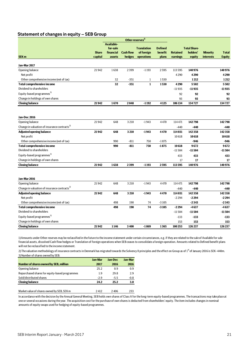## **Statement of changes in equity – SEB Group**

|                                                          |              |                     |                            | Other reserves <sup>1)</sup> |                |                 |                     |                  |                |
|----------------------------------------------------------|--------------|---------------------|----------------------------|------------------------------|----------------|-----------------|---------------------|------------------|----------------|
|                                                          |              | <b>Available-</b>   |                            |                              |                |                 |                     |                  |                |
|                                                          |              | for-sale            |                            | <b>Translation</b>           | <b>Defined</b> |                 | <b>Total Share-</b> |                  |                |
|                                                          | <b>Share</b> | financial<br>assets | <b>Cash flow</b><br>hedges | of foreign<br>operations     | benefit        | <b>Retained</b> | holders'            | <b>Minority</b>  | <b>Total</b>   |
| SEK <sub>m</sub>                                         | capital      |                     |                            |                              | plans          | earnings        | equity              | <b>interests</b> | <b>Equity</b>  |
| Jan-Mar 2017                                             |              |                     |                            |                              |                |                 |                     |                  |                |
| Opening balance                                          | 21942        | 1638                | 2399                       | $-1193$                      | 2595           | 113 595         | 140976              |                  | 140976         |
| Net profit                                               |              |                     |                            |                              |                | 4290            | 4290                |                  | 4290           |
| Other comprehensive income (net of tax)                  |              | 32                  | $-351$                     | 1                            | 1530           |                 | 1212                |                  | 1212           |
| <b>Total comprehensive income</b>                        |              | 32                  | $-351$                     | $\mathbf 1$                  | 1530           | 4290            | 5502                |                  | 5502           |
| Dividend to shareholders                                 |              |                     |                            |                              |                | $-11935$        | $-11935$            |                  | $-11935$       |
| Equity-based programmes <sup>3)</sup>                    |              |                     |                            |                              |                | 92              | 92                  |                  | 92             |
| Change in holdings of own shares                         |              |                     |                            |                              |                | 93              | 93                  |                  | 93             |
| <b>Closing balance</b>                                   | 21942        | 1670                | 2048                       | $-1192$                      | 4125           | 106134          | 134727              |                  | 134727         |
|                                                          |              |                     |                            |                              |                |                 |                     |                  |                |
|                                                          |              |                     |                            |                              |                |                 |                     |                  |                |
| Jan-Dec 2016                                             |              |                     |                            |                              |                |                 |                     |                  |                |
| Opening balance                                          | 21942        | 648                 | 3210                       | $-1943$                      | 4470           | 114 471         | 142798              |                  | 142798         |
| Change in valuation of insurance contracts <sup>2)</sup> |              |                     |                            |                              |                | $-440$          | $-440$              |                  | $-440$         |
| <b>Adjusted opening balance</b>                          | 21942        | 648                 | 3210                       | $-1943$                      | 4470           | 114031          | 142358              |                  | 142358         |
| Net profit                                               |              |                     |                            |                              |                | 10618           | 10618               |                  | 10618          |
| Other comprehensive income (net of tax)                  |              | 990                 | $-811$                     | 750                          | $-1875$        |                 | $-946$              |                  | $-946$         |
| <b>Total comprehensive income</b>                        |              | 990                 | $-811$                     | 750                          | $-1875$        | 10618           | 9672                |                  | 9672           |
| Dividend to shareholders                                 |              |                     |                            |                              |                | $-11504$        | $-11504$            |                  | $-11504$       |
| Equity-based programmes <sup>3)</sup>                    |              |                     |                            |                              |                | 433             | 433                 |                  | 433            |
| Change in holdings of own shares                         |              |                     |                            |                              |                | 17              | 17                  |                  | 17             |
| <b>Closing balance</b>                                   | 21942        | 1638                | 2399                       | $-1193$                      | 2595           | 113595          | 140976              |                  | 140976         |
|                                                          |              |                     |                            |                              |                |                 |                     |                  |                |
| Jan-Mar 2016                                             |              |                     |                            |                              |                |                 |                     |                  |                |
| Opening balance                                          | 21942        | 648                 | 3210                       | $-1943$                      | 4470           | 114 471         | 142798              |                  | 142798         |
| Change in valuation of insurance contracts <sup>2)</sup> |              |                     |                            |                              |                | $-440$          | -440                |                  | -440           |
| <b>Adjusted opening balance</b>                          | 21942        | 648                 | 3210                       | $-1943$                      | 4470           | 114 031         | 142 358             |                  | 142358         |
| Net profit                                               |              |                     |                            |                              |                | $-2294$         | $-2294$             |                  | $-2294$        |
| Other comprehensive income (net of tax)                  |              | 498                 | 190                        | 74                           | $-3105$        |                 | $-2343$             |                  | $-2343$        |
| <b>Total comprehensive income</b>                        |              | 498                 | 190                        | 74                           | $-3105$        | $-2294$         | $-4637$             |                  | $-4637$        |
| Dividend to shareholders                                 |              |                     |                            |                              |                | $-11504$        | $-11504$            |                  | $-11504$       |
| Equity-based programmes <sup>3)</sup>                    |              |                     |                            |                              |                | $-133$          | $-133$              |                  | $-133$         |
| Change in holdings of own shares                         |              |                     |                            |                              |                |                 |                     |                  |                |
| <b>Closing balance</b>                                   | 21942        | 1146                | 3400                       | $-1869$                      | 1365           | 153<br>100253   | 153<br>126 237      |                  | 153<br>126 237 |
|                                                          |              |                     |                            |                              |                |                 |                     |                  |                |
|                                                          |              |                     |                            |                              |                |                 |                     |                  |                |

1) Amounts under Other reserves may be reclassified in the future to the income statement under certain circumstances, e.g. if they are related to the sale of Available for sale financial assets, dissolved Cash flow hedges or Translation of foreign operations when SEB ceases to consolidate a foreign operation. Amounts related to Defined benefit plans will not be reclassified to the income statement.

2) The valuation methodology of insurance contracts in Denmark has migrated towards the Solvency II principles and the effect on Group as of 1<sup>st</sup> of January 2016 is SEK -440m. 3) Number of shares owned by SEB:

|                                                | <b>Jan-Mar</b> | Jan-Dec | <b>Jan-Mar</b> |
|------------------------------------------------|----------------|---------|----------------|
| Number of shares owned by SEB, million         | 2017           | 2016    | 2016           |
| Opening balance                                | 25.2           | 0.9     | 0.9            |
| Repurchased shares for equity-based programmes | 1.9            | 29.8    | 29             |
| Sold/distributed shares                        | $-29$          | $-5.5$  | $-0.8$         |
| <b>Closing balance</b>                         | 24.2           | 25.2    | 30             |
|                                                |                |         |                |

Market value of shares owned by SEB, SEK m 2412 2406 233

In accordance with the decision by the Annual General Meeting, SEB holds own shares of Class A for the long-term equity-based programmes. The transactions may take place at one or several occasions during the year. The acquisition cost for the purchase of own shares is deducted from shareholders' equity. The item includes changes in nominal amounts of equity swaps used for hedging of equity-based programmes.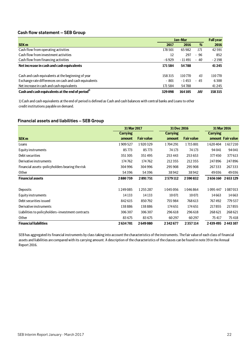## **Cash flow statement – SEB Group**

|                                                              | Jan-Mar |          |            | <b>Full year</b> |
|--------------------------------------------------------------|---------|----------|------------|------------------|
| <b>SEK m</b>                                                 | 2017    | 2016     | %          | 2016             |
| Cash flow from operating activities                          | 178 501 | 65982    | 171        | 42591            |
| Cash flow from investment activities                         | 12      | 297      | - 96       | 852              |
| Cash flow from financing activities                          | $-6929$ | - 11 491 | - 40       | $-2198$          |
| Net increase in cash and cash equivalents                    | 171584  | 54788    |            | 41 245           |
| Cash and cash equivalents at the beginning of year           | 158315  | 110770   | 43         | 110 770          |
| Exchange rate differences on cash and cash equivalents       | $-801$  | $-1453$  | $-45$      | 6300             |
| Net increase in cash and cash equivalents                    | 171584  | 54788    |            | 41 2 45          |
| Cash and cash equivalents at the end of period <sup>1)</sup> | 329098  | 164105   | <i>101</i> | 158315           |

1) Cash and cash equivalents at the end of period is defined as Cash and cash balances with central banks and Loans to other credit institutions payable on demand.

## **Financial assets and liabilities – SEB Group**

|                                                   | 31 Mar 2017     |                   |                 | 31 Dec 2016       |                 | 31 Mar 2016       |
|---------------------------------------------------|-----------------|-------------------|-----------------|-------------------|-----------------|-------------------|
|                                                   | <b>Carrying</b> |                   | <b>Carrying</b> |                   | <b>Carrying</b> |                   |
| <b>SEK m</b>                                      | amount          | <b>Fair value</b> | amount          | <b>Fair value</b> |                 | amount Fair value |
| Loans                                             | 1909527         | 1920329           | 1704291         | 1715801           | 1620404         | 1617210           |
| Equity instruments                                | 85773           | 85773             | 74 173          | 74 173            | 94 041          | 94 041            |
| Debt securities                                   | 351305          | 351495            | 253 443         | 253 653           | 377450          | 377613            |
| Derivative instruments                            | 174762          | 174762            | 212355          | 212355            | 247896          | 247896            |
| Financial assets-policyholders bearing the risk   | 304996          | 304996            | 295 908         | 295 908           | 267333          | 267333            |
| Other                                             | 54396           | 54396             | 38942           | 38942             | 49036           | 49 0 36           |
| <b>Financial assets</b>                           | 2880759         | 2891751           | 2579112         | 2590832           | 2656160         | 2653129           |
|                                                   |                 |                   |                 |                   |                 |                   |
| Deposits                                          | 1249085         | 1255287           | 1045056         | 1046864           | 1095447         | 1087013           |
| Equity instruments                                | 14133           | 14 13 3           | 10 0 71         | 10071             | 14663           | 14663             |
| Debt securities issued                            | 842 615         | 850792            | 755984          | 768 613           | 767492          | 779537            |
| Derivative instruments                            | 138886          | 138886            | 174 651         | 174 651           | 217855          | 217855            |
| Liabilities to policyholders–investment contracts | 306307          | 306307            | 296 618         | 296618            | 268 621         | 268 621           |
| Other                                             | 83 675          | 83 675            | 60297           | 60297             | 75417           | 75418             |
| <b>Financial liabilities</b>                      | 2634701         | 2649080           | 2342677         | 2357114           | 2439495         | 2443107           |

SEB has aggregated its financial instruments by class taking into account the characteristics of the instruments. The fair value of each class of financial assets and liabilities are compared with its carrying amount. A description of the characteristics of the classes can be found in note 39 in the Annual Report 2016.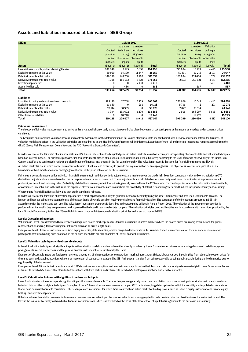## **Assets and liabilities measured at fair value – SEB Group**

| SEK <sub>m</sub>                                    |           | 31 Mar 2017 |                       |              |           | 31 Dec 2016 |                  |              |
|-----------------------------------------------------|-----------|-------------|-----------------------|--------------|-----------|-------------|------------------|--------------|
|                                                     |           | Valuation   | Valuation             |              |           | Valuation   | <b>Valuation</b> |              |
|                                                     | Quoted    | technique   | technique             |              | Quoted    | technique   | technique        |              |
|                                                     | prices in | using       | using non-            |              | prices in | using       | using non-       |              |
|                                                     | active    |             | observable observable |              | active    | observable  | observable       |              |
|                                                     | markets   | inputs      | inputs                |              | markets   | inputs      | inputs           |              |
| <b>Assets</b>                                       | (Level 1) | (Level 2)   | (Level 3)             | <b>Total</b> | (Level 1) | (Level 2)   | (Level 3)        | <b>Total</b> |
| Financial assets - policyholders bearing the risk   | 282046    | 17595       | 5355                  | 304 996      | 275894    | 15589       | 4425             | 295 908      |
| Equity instruments at fair value                    | 59 9 20   | 14 3 9 0    | 11847                 | 86157        | 50 331    | 13 21 5     | 11 10 1          | 74 647       |
| Debt instruments at fair value                      | 186790    | 148756      | 1792                  | 337 338      | 102894    | 133 664     | 1779             | 238 337      |
| Derivative instruments at fair value                | 1708      | 166 232     | 6822                  | 174 762      | 2593      | 201621      | 8 1 4 1          | 212 355      |
| Investment properties                               | $\Omega$  | $\Omega$    | 7418                  | 7418         |           |             | 7401             | 7401         |
| Assets held for sale                                | $\Omega$  | 486         | $\Omega$              | 486          |           | 587         |                  | 587          |
| <b>Total</b>                                        | 530464    | 347459      | 33 2 34               | 911157       | 431712    | 364 676     | 32847            | 829 235      |
| <b>Liabilities</b>                                  |           |             |                       |              |           |             |                  |              |
| Liabilities to policyholders - investment contracts | 283 170   | 17768       | 5369                  | 306 307      | 276 666   | 15542       | 4410             | 296 618      |
| Equity instruments at fair value                    | 13850     | $\Omega$    | 283                   | 14 133       | 9798      |             | 271              | 10 071       |
| Debt instruments at fair value                      | 20 114    | 38959       | $\bf{0}$              | 59 073       | 7027      | 33 514      |                  | 40541        |
| Derivative instruments at fair value                | 1994      | 133 602     | 3 2 9 0               | 138 886      | 2808      | 168 207     | 3636             | 174 651      |
| Other financial liabilities                         | $\Omega$  | 18748       | $\bf{0}$              | 18748        |           | 19 2 25     |                  | 19 2 25      |
| <b>Total</b>                                        | 319 128   | 209 077     | 8942                  | 537147       | 296 299   | 236 490     | 8 3 1 7          | 541106       |
|                                                     |           |             |                       |              |           |             |                  |              |

#### **Fair value measurement**

The objective of fair value measurement is to arrive at the price at which an orderly transaction would take place between market participants at the measurement date under current market conditions.

The Group has an established valuation process and control environment for the determination of fair values of financial instruments that includes a review, independent from the business, of valuation models and prices. If the validation principles are not adhered to, the Head of Group Finance shall be informed. Exceptions of material and principal importance require approval from the GRMC (Group Risk Measurement Committee) and the ASC (Accounting Standards Committee).

An active market is one in which transactions occur with sufficient volume and frequency to provide pricing information on an ongoing basis. The objective is to arrive at a price at which a transaction without modification or repackaging would occur in the principal market for the instrument. In order to arrive at the fair value of a financial instrument SEB uses different methods; quoted prices in active markets, valuation techniques incorporating observable data and valuation techniques based on internal models. For disclosure purposes, financial instruments carried at fair value are classified in a fair value hierarchy according to the level of market observability of the inputs. Risk Control classifies and continuously reviews the classification of financial instruments in the fair value hierarchy. The valuation process is the same for financial instruments in all levels.

When valuing financial liabilities at fair value own credit standing is reflected. Fair value is generally measured for individual financial instruments, in addition portfolio adjustments are made to cover the credit risk. To reflect counterparty risk and own credit risk in OTC derivatives, adjustments are made based on the net exposure towards each counterpart. These adjustments are calculated on a counterparty level based on estimates of exposure at default, probability of default and recovery rates. Probability of default and recovery rate information is generally sourced from the CDS markets. For counterparties where this information is not available, or considered unreliable due to the nature of the exposure, alternative approaches are taken where the probability of default is based on generic credit indices for specific industry and/or rating.

In order to arrive at the fair value of investment properties a market participant's ability to generate economic benefit by using the asset in its highest and best use are taken into account. The highest and best use takes into account the use of the asset that is physically possible, legally permissible and financially feasible. The current use of the investment properties in SEB is in accordance with the highest and best use. The valuation of investment properties is described in the Accounting policies in Annual Report 2016. The valuation of the investment properties is performed semi-annually, they are presented and approved by the board in each real estate company. The valuation principles used in all entities are in accordance with regulations provided by the local Financial Supervisory Authorities (FSA) which is in accordance with international valuation principles and in accordance with IFRS.

#### **Level 1: Quoted market prices**

Valuations in Level 1 are determined by reference to unadjusted quoted market prices for identical instruments in active markets where the quoted prices are readily available and the prices represent actual and regularly occurring market transactions on an arm's length basis.

Examples of Level 1 financial instruments are listed equity securities, debt securities, and exchange-traded derivatives. Instruments traded in an active market for which one or more market participants provide a binding price quotation on the balance sheet date are also examples of Level 1 financial instruments.

#### **Level 2: Valuation techniques with observable inputs**

In Level 2 valuation techniques, all significant inputs to the valuation models are observable either directly or indirectly. Level 2 valuation techniques include using discounted cash flows, option pricing models, recent transactions and the price of another instrument that is substantially the same.

Examples of observable inputs are foreign currency exchange rates, binding securities price quotations, market interest rates (Stibor, Libor, etc.), volatilities implied from observable option prices for the same term and actual transactions with one or more external counterparts executed by SEB. An input can transfer from being observable to being unobservable during the holding period due to e.g. illiquidity of the instrument.

Examples of Level 2 financial instruments are most OTC derivatives such as options and interest rate swaps based on the Libor swap rate or a foreign-denominated yield curve. Other examples are instruments for which SEB recently entered into transactions with third parties and instruments for which SEB interpolates between observable variables.

#### **Level 3: Valuation techniques with significant unobservable inputs**

Level 3 valuation techniques incorporate significant inputs that are unobservable. These techniques are generally based on extrapolating from observable inputs for similar instruments, analysing historical data or other analytical techniques. Examples of Level 3 financial instruments are more complex OTC derivatives, long dated options for which the volatility is extrapolated or derivatives that depend on an unobservable correlation. Other examples are instruments for which there is currently no active market or binding quotes, such as unlisted equity instruments and private equity holdings and investment properties.

If the fair value of financial instruments includes more than one unobservable input, the unobservable inputs are aggregated in order to determine the classification of the entire instrument. The level in the fair value hierarchy within which a financial instrument is classified is determined on the basis of the lowest level of input that is significant to the fair value in its entirety.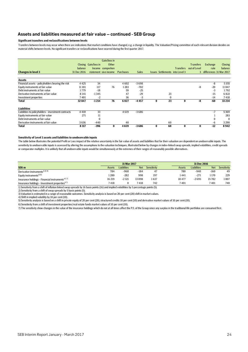## **Assets and liabilities measured at fair value – continued - SEB Group**

## **Significant transfers and reclassifications between levels**

Transfers between levels may occur when there are indications that market conditions have changed, e.g. a change in liquidity. The Valuation/Pricing committee of each relevant division decides on material shifts between levels. No significant transfers or reclassifications have ocurred during the first quarter 2017.

|                                                     |             |                      | Gain/loss in          |           |              |          |          |                                        |                        |                           |                |
|-----------------------------------------------------|-------------|----------------------|-----------------------|-----------|--------------|----------|----------|----------------------------------------|------------------------|---------------------------|----------------|
|                                                     |             | Closing Gain/loss in | Other                 |           |              |          |          |                                        | <b>Transfers</b>       | Exchange                  | <b>Closing</b> |
|                                                     | balance     |                      | Income comprehen      |           |              |          |          |                                        | Transfers out of Level | rate                      | balance        |
| <b>Changes in level 3</b>                           | 31 Dec 2016 |                      | statement sive income | Purchases | <b>Sales</b> |          |          | <b>Issues Settlements into Level 3</b> |                        | 3 differences 31 Mar 2017 |                |
| <b>Assets</b>                                       |             |                      |                       |           |              |          |          |                                        |                        |                           |                |
| Financial assets - policyholders bearing the risk   | 4 4 2 5     | 34                   |                       | 4602      | $-3698$      |          |          |                                        |                        | -8                        | 5355           |
| Equity instruments at fair value                    | 11 10 1     | 117                  | 76                    | 1283      | $-702$       |          |          |                                        | -8                     | $-20$                     | 11847          |
| Debt instruments at fair value                      | 1779        | $-18$                |                       | 59        | $-25$        |          |          |                                        |                        | $-3$                      | 1792           |
| Derivative instruments at fair value                | 8 1 4 1     | $-1345$              |                       | 47        | $-29$        |          | 23       |                                        |                        | $-15$                     | 6822           |
| Investment properties                               | 7401        | $-2$                 |                       | 36        | $-3$         |          | $\Omega$ |                                        |                        | $-14$                     | 7418           |
| <b>Total</b>                                        | 32 847      | $-1214$              | 76                    | 6027      | $-4457$      | $\bf{0}$ | 23       | $\bf{0}$                               | -8                     | $-60$                     | 33 2 34        |
| <b>Liabilities</b>                                  |             |                      |                       |           |              |          |          |                                        |                        |                           |                |
| Liabilities to policyholders - investment contracts | 4 4 1 0     | 33                   |                       | 4619      | $-3686$      |          |          |                                        |                        | $-7$                      | 5369           |
| Equity instruments at fair value                    | 271         | 11                   |                       |           |              |          |          |                                        |                        |                           | 283            |
| Debt instruments at fair value                      |             | $\bf{0}$             |                       |           |              |          |          |                                        |                        | $\Omega$                  | $\Omega$       |
| Derivative instruments at fair value                | 3636        | $-440$               |                       | 40        |              |          | 60       |                                        |                        | -6                        | 3290           |
| Total                                               | 8 3 1 7     | $-396$               | 0                     | 4659      | $-3686$      | $\bf{0}$ | 60       | $\mathbf{0}$                           | $\bf{0}$               | $-12$                     | 8942           |

#### **Sensitivity of Level 3 assets and liabilities to unobservable inputs**

The table below illustrates the potential Profit or Loss impact of the relative uncertainty in the fair value of assets and liabilities that for their valuation are dependent on unobservable inputs. The sensitivity to unobservable inputs is assessed by altering the assumptions to the valuation techniques, illustrated below by changes in index-linked swap spreads, implied volatilities, credit spreads or comparator multiples. It is unlikely that all unobservable inputs would be simultaneously at the extremes of their ranges of reasonably possible alternatives.

|                                                            |        | 31 Mar 2017        |            |             | 31 Dec 2016 |                    |        |             |
|------------------------------------------------------------|--------|--------------------|------------|-------------|-------------|--------------------|--------|-------------|
| <b>SEK m</b>                                               | Assets | <b>Liabilities</b> | <b>Net</b> | Sensitivity | Assets      | <b>Liabilities</b> | Net    | Sensitivity |
| Derivative instruments <sup>1) 2) 4)</sup>                 | 784    | $-968$             | -184       | 47          | 780         | $-940$             | $-160$ | 49          |
| Equity instruments <sup>3) 6)</sup>                        | 1280   | $-282$             | 998        | 197         | 1441        | $-271$             | 1 170  | 229         |
| Insurance holdings - Financial instruments <sup>457)</sup> | 16 219 | $-2321$            | 13 8 98    | 1637        | 18 477      | $-2695$            | 15782  | 1807        |
| Insurance holdings - Investment properties <sup>67)</sup>  | 7418   |                    | 7418       | 742         | 7401        |                    | 7401   | 740         |

1) Sensitivity from a shift of inflation linked swap spreads by 16 basis points (16) and implied volatilities by 5 percentage points (5).<br>2) Sensitivity from a shift of swap spreads by 5 basis points (5).

3) Valuation is estimated in a range of reasonable outcomes. Sensitivity analysis is based on 20 per cent (20) shift in market values.

4) Shift in implied volatility by 10 per cent (10).

5) Sensitivity analysis is based on a shift in private equity of 20 per cent (20), structured credits 10 per cent (10) and derivative market values of 10 per cent (10).

6) Sensitivity from a shift of investment properties/real estate funds market values of 10 per cent (10).

7) The sensitivity show changes in the value of the insurance holdings which do not at all times affect the P/L of the Group since any surplus in the traditional life portfolios are consumed first.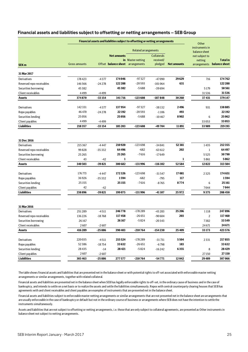|                           |                      |          |                                   | <b>Financial assets and liabilities subject to offsetting or netting arrangements</b> |                    |                    | Other                           |                 |
|---------------------------|----------------------|----------|-----------------------------------|---------------------------------------------------------------------------------------|--------------------|--------------------|---------------------------------|-----------------|
|                           |                      |          |                                   | <b>Related arrangements</b>                                                           |                    |                    | instruments in<br>balance sheet |                 |
|                           |                      |          | <b>Net amounts</b>                |                                                                                       | <b>Collaterals</b> |                    | not subject to                  |                 |
|                           |                      |          |                                   | in Master netting                                                                     | received/          |                    | netting                         | <b>Total</b> in |
| <b>SEK m</b>              | <b>Gross amounts</b> |          | Offset balance sheet arrangements |                                                                                       | pledged            | <b>Net amounts</b> | arrangements                    | balance sheet   |
| 31 Mar 2017               |                      |          |                                   |                                                                                       |                    |                    |                                 |                 |
| Derivatives               | 178423               | $-4377$  | 174046                            | $-97327$                                                                              | $-47090$           | 29629              | 716                             | 174762          |
| Reversed repo receivables | 146566               | $-24278$ | 122 288                           | $-20593$                                                                              | $-101064$          | 631                |                                 | 122 288         |
| Securities borrowing      | 45382                |          | 45382                             | $-5688$                                                                               | $-39694$           |                    | 5179                            | 50561           |
| Client receivables        | 4499                 | $-4499$  |                                   |                                                                                       |                    |                    | 31536                           | 31536           |
| <b>Assets</b>             | 374870               | $-33154$ | 341716                            | -123 608                                                                              | $-187848$          | 30 260             | 37431                           | 379147          |
| Derivatives               | 142 331              | $-4377$  | 137954                            | $-97327$                                                                              | $-38132$           | 2496               | 931                             | 138885          |
| Repo payables             | 46 470               | $-24278$ | 22 192                            | $-20593$                                                                              | $-1106$            | 493                |                                 | 22192           |
| Securities lending        | 25056                |          | 25056                             | $-5688$                                                                               | $-10467$           | 8902               | 6                               | 25 062          |
| Client payables           | 4499                 | $-4499$  |                                   |                                                                                       |                    |                    | 33 053                          | 33053           |
| <b>Liabilities</b>        | 218357               | $-33154$ | 185203                            | $-123608$                                                                             | -49704             | 11891              | 33 989                          | 219 193         |
|                           |                      |          |                                   |                                                                                       |                    |                    |                                 |                 |
| 31 Dec 2016               |                      |          |                                   |                                                                                       |                    |                    |                                 |                 |
| Derivatives               | 215 367              | $-4447$  | 210920                            | $-123698$                                                                             | $-34841$           | 52381              | 1435                            | 212355          |
| Reversed repo receivables | 99828                | $-35332$ | 64496                             | $-682$                                                                                | $-63612$           | 202                | 1                               | 64497           |
| Securities borrowing      | 25 2 65              |          | 25 26 5                           | $-7616$                                                                               | $-17649$           |                    | 5525                            | 30790           |
| Client receivables        | 43                   | $-42$    | 1                                 |                                                                                       |                    | 1                  | 5861                            | 5862            |
| <b>Assets</b>             | 340503               | $-39821$ | 300 682                           | $-131996$                                                                             | $-116102$          | 52584              | 12822                           | 313504          |
| Derivatives               | 176773               | $-4447$  | 172326                            | $-123698$                                                                             | $-31547$           | 17081              | 2325                            | 174651          |
| Repo payables             | 36926                | $-35332$ | 1594                              | $-682$                                                                                | $-795$             | 117                |                                 | 1594            |
| Securities lending        | 25 1 55              |          | 25155                             | $-7616$                                                                               | $-8765$            | 8774               | 6                               | 25161           |
| Client payables           | 42                   | $-42$    |                                   |                                                                                       |                    |                    | 7044                            | 7044            |
| <b>Liabilities</b>        | 238 896              | $-39821$ | 199075                            | -131996                                                                               | $-41107$           | 25972              | 9375                            | 208450          |
|                           |                      |          |                                   |                                                                                       |                    |                    |                                 |                 |
| 31 Mar 2016               |                      |          |                                   |                                                                                       |                    |                    |                                 |                 |
| Derivatives               | 251289               | $-4511$  | 246778                            | $-178289$                                                                             | $-43283$           | 25 206             | 1118                            | 247896          |
| Reversed repo receivables | 136226               | $-18768$ | 117458                            | $-26651$                                                                              | $-90604$           | 203                | $\overline{2}$                  | 117460          |
| Securities borrowing      | 26167                |          | 26167                             | $-5824$                                                                               | $-20343$           |                    | 7382                            | 33549           |
| Client receivables        | 2607                 | $-2607$  |                                   |                                                                                       |                    |                    | 24 671                          | 24671           |
| <b>Assets</b>             | 416 289              | $-25886$ | 390 403                           | $-210764$                                                                             | $-154230$          | 25409              | 33173                           | 423 576         |
| Derivatives               | 220035               | $-4511$  | 215 5 24                          | -178 289                                                                              | $-31731$           | 5504               | 2331                            | 217855          |
| Repo payables             | 52386                | $-18754$ | 33632                             | -26 651                                                                               | $-6798$            | 183                |                                 | 33632           |
| Securities lending        | 28435                | $-14$    | 28 4 21                           | $-5824$                                                                               | $-16242$           | 6355               | 8                               | 28429           |
| Client payables           | 2607                 | $-2607$  |                                   |                                                                                       |                    |                    | 27150                           | 27150           |
| <b>Liabilities</b>        | 303 463              | $-25886$ | 277 577                           | $-210764$                                                                             | $-54771$           | 12042              | 29489                           | 307 066         |

## **Financial assets and liabilities subject to offsetting or netting arrangements – SEB Group**

The table shows financial assets and liabilities that are presented net in the balance sheet or with potential rights to off-set associated with enforceable master netting arrangements or similar arrangements, together with related collateral.

Financial assets and liabilities are presented net in the balance sheet when SEB has legally enforceable rights to off-set, in the ordinary cause of business and in the case of bankruptcy, and intends to settle on a net basis or to realize the assets and settle the liabilities simultaneously. Repos with central counterparty clearing houses that SEB has agreements with and client receivables and client payables are examples of instruments that are presented net in the balance sheet.

Financial assets and liabilities subject to enforceable master netting arrangements or similar arrangements that are not presented net in the balance sheet are arrangements that are usually enforceable in the case of bankruptcy or default but not in the ordinary course of business or arrangements where SEB does not have the intention to settle the instruments simultaneously.

Assets and liabilities that are not subject to offsetting or netting arrangements, i.e. those that are only subject to collateral agreements, are presented as Other instruments in balance sheet not subject to netting arrangements.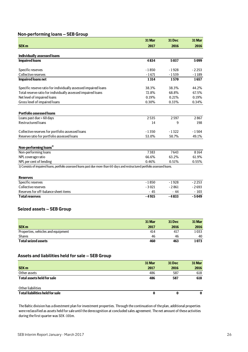## **Non-performing loans – SEB Group**

|                                                                                                                               | 31 Mar  | 31 Dec  | 31 Mar  |
|-------------------------------------------------------------------------------------------------------------------------------|---------|---------|---------|
| <b>SEK m</b>                                                                                                                  | 2017    | 2016    | 2016    |
|                                                                                                                               |         |         |         |
| <b>Individually assessed loans</b>                                                                                            |         |         |         |
| <b>Impaired loans</b>                                                                                                         | 4834    | 5037    | 5099    |
| Specific reserves                                                                                                             | $-1850$ | $-1928$ | $-2253$ |
| Collective reserves                                                                                                           | $-1671$ | $-1539$ | $-1189$ |
| <b>Impaired loans net</b>                                                                                                     | 1314    | 1570    | 1657    |
| Specific reserve ratio for individually assessed impaired loans                                                               | 38.3%   | 38.3%   | 44.2%   |
| Total reserve ratio for individually assessed impaired loans                                                                  | 72.8%   | 68.8%   | 67.5%   |
| Net level of impaired loans                                                                                                   | 0.19%   | 0.21%   | 0.19%   |
| Gross level of impaired loans                                                                                                 | 0.30%   | 0.33%   | 0.34%   |
|                                                                                                                               |         |         |         |
| <b>Portfolio assessed loans</b>                                                                                               |         |         |         |
| Loans past due > 60 days                                                                                                      | 2535    | 2597    | 2867    |
| Restructured loans                                                                                                            | 14      | 9       | 198     |
| Collective reserves for portfolio assessed loans                                                                              | $-1350$ | $-1322$ | $-1504$ |
| Reserve ratio for portfolio assessed loans                                                                                    | 53.0%   | 50.7%   | 49.1%   |
| Non-performing loans <sup>1)</sup>                                                                                            |         |         |         |
| Non-performing loans                                                                                                          | 7383    | 7643    | 8164    |
| NPL coverage ratio                                                                                                            | 66.6%   | 63.2%   | 61.9%   |
| NPL per cent of lending                                                                                                       | 0.46%   | 0.51%   | 0.55%   |
| 1) Consists of impaired loans, portfolio assessed loans past due more than 60 days and restructured portfolio assessed loans. |         |         |         |
|                                                                                                                               |         |         |         |
| <b>Reserves</b>                                                                                                               |         |         |         |
| Specific reserves                                                                                                             | $-1850$ | $-1928$ | $-2253$ |
| Collective reserves                                                                                                           | $-3021$ | $-2861$ | $-2693$ |
| Reserves for off-balance sheet items                                                                                          | $-45$   | $-44$   | $-103$  |
| <b>Total reserves</b>                                                                                                         | $-4915$ | $-4833$ | $-5049$ |

## **Seized assets – SEB Group**

|                                    | 31 Mar | <b>31 Dec</b> | 31 Mar |
|------------------------------------|--------|---------------|--------|
| <b>SEK m</b>                       | 2017   | 2016          | 2016   |
| Properties, vehicles and equipment | 414    | 417           | 1033   |
| <b>Shares</b>                      | 46     | 46            | 40     |
| <b>Total seized assets</b>         | 460    | 463           | 1073   |

## **Assets and liabilities held for sale – SEB Group**

|                                        | 31 Mar | <b>31 Dec</b> | 31 Mar |
|----------------------------------------|--------|---------------|--------|
| <b>SEK m</b>                           | 2017   | 2016          | 2016   |
| Other assets                           | 486    | 587           | 618    |
| <b>Total assets held for sale</b>      | 486    | 587           | 618    |
| Other liabilities                      |        |               |        |
| <b>Total liabilities held for sale</b> | 0      | 0             | 0      |

The Baltic division has a divestment plan for investment properties. Through the continuation of the plan, additional properties were reclassified as assets held for sale until the derecognition at concluded sales agreement. The net amount of these activities during the first quarter was SEK -101m.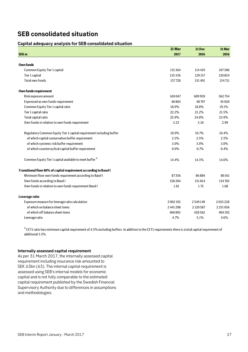## **SEB consolidated situation**

## **Capital adequacy analysis for SEB consolidated situation**

|                                                                      | 31 Mar    | 31 Dec    | 31 Mar        |
|----------------------------------------------------------------------|-----------|-----------|---------------|
| <b>SEK m</b>                                                         | 2017      | 2016      | 2016          |
|                                                                      |           |           |               |
| Own funds                                                            |           |           |               |
| Common Equity Tier 1 capital                                         | 115364    | 114419    | 107306        |
| Tier 1 capital                                                       | 135336    | 129 157   | 120824        |
| <b>Total own funds</b>                                               | 157728    | 151491    | 134711        |
| Own funds requirement                                                |           |           |               |
| Risk exposure amount                                                 | 610047    | 609 959   | 562754        |
| Expressed as own funds requirement                                   | 48804     | 48797     | 45 0 20       |
| Common Equity Tier 1 capital ratio                                   | 18.9%     | 18.8%     | 19.1%         |
| Tier 1 capital ratio                                                 | 22.2%     | 21.2%     | 21.5%         |
| Total capital ratio                                                  | 25.9%     | 24.8%     | 23.9%         |
| Own funds in relation to own funds requirement                       | 3.23      | 3.10      | 2.99          |
| Regulatory Common Equity Tier 1 capital requirement including buffer | 10.9%     | 10.7%     | 10.4%         |
| of which capital conservation buffer requirement                     | 2.5%      | 2.5%      | 2.5%          |
| of which systemic risk buffer requirement                            | 3.0%      | 3.0%      | 3.0%          |
| of which countercyclical capital buffer requirement                  | 0.9%      | 0.7%      | 0.4%          |
| Common Equity Tier 1 capital available to meet buffer <sup>1)</sup>  | 14.4%     | 14.3%     | 14.6%         |
| Transitional floor 80% of capital requirement according to Basel I   |           |           |               |
| Minimum floor own funds requirement according to Basel I             | 87356     | 86884     | 80161         |
| Own funds according to Basel I                                       | 158 204   | 151814    | 134765        |
| Own funds in relation to own funds requirement Basel I               | 1.81      | 1.75      | 1.68          |
| Leverage ratio                                                       |           |           |               |
| Exposure measure for leverage ratio calculation                      | 2902192   | 2549149   | 2655228       |
| of which on balance sheet items                                      | 2 441 298 | 2 120 587 | 2 2 5 1 0 3 6 |
| of which off balance sheet items                                     | 460893    | 428 562   | 404 192       |
| Leverage ratio                                                       | 4.7%      | 5.1%      | 4.6%          |

<sup>1)</sup> CET1 ratio less minimum capital requirement of 4.5% excluding buffers. In addition to the CET1 requirements there is a total capital requirement of additional 3.5%.

## **Internally assessed capital requirement**

As per 31 March 2017, the internally assessed capital requirement including insurance risk amounted to SEK 63bn (63). The internal capital requirement is assessed using SEB's internal models for economic capital and is not fully comparable to the estimated capital requirement published by the Swedish Financial Supervisory Authority due to differences in assumptions and methodologies.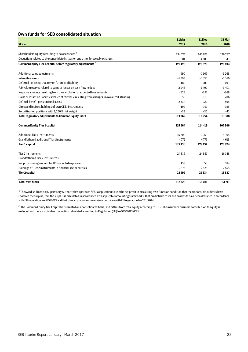## **Own funds for SEB consolidated situation**

|                                                                                                   | 31 Mar   | 31 Dec   | 31 Mar   |
|---------------------------------------------------------------------------------------------------|----------|----------|----------|
| <b>SEK m</b>                                                                                      | 2017     | 2016     | 2016     |
|                                                                                                   |          |          |          |
| Shareholders equity according to balance sheet <sup>1</sup>                                       | 134727   | 140976   | 126237   |
| Deductions related to the consolidated situation and other foreseeable charges                    | $-5601$  | $-14303$ | $-5543$  |
| Common Equity Tier 1 capital before regulatory adjustments <sup>2)</sup>                          | 129126   | 126 673  | 120 694  |
| Additional value adjustments                                                                      | $-990$   | $-1169$  | $-1268$  |
| Intangible assets                                                                                 | $-6893$  | $-6835$  | $-6560$  |
| Deferred tax assets that rely on future profitability                                             | $-185$   | $-208$   | $-493$   |
| Fair value reserves related to gains or losses on cash flow hedges                                | $-2048$  | $-2400$  | $-3401$  |
| Negative amounts resulting from the calculation of expected loss amounts                          | $-628$   | $-381$   | $-368$   |
| Gains or losses on liabilities valued at fair value resulting from changes in own credit standing | 50       | $-115$   | $-206$   |
| Defined-benefit pension fund assets                                                               | $-2834$  | $-920$   | $-895$   |
| Direct and indirect holdings of own CET1 instruments                                              | $-199$   | $-191$   | $-155$   |
| Securitisation positions with 1,250% risk weight                                                  | $-33$    | $-35$    | $-42$    |
| Total regulatory adjustments to Common Equity Tier 1                                              | $-13762$ | $-12254$ | $-13388$ |
| <b>Common Equity Tier 1 capital</b>                                                               | 115 3 64 | 114419   | 107306   |
| <b>Additional Tier 1 instruments</b>                                                              | 15 200   | 9959     | 8905     |
| Grandfathered additional Tier 1 instruments                                                       | 4772     | 4779     | 4613     |
| <b>Tier 1 capital</b>                                                                             | 135336   | 129 157  | 120824   |
| Tier 2 instruments<br>Grandfathered Tier 2 instruments                                            | 24 815   | 24851    | 16148    |
| Net provisioning amount for IRB-reported exposures                                                | 153      | 58       | 314      |
| Holdings of Tier 2 instruments in financial sector entities                                       | $-2575$  | $-2575$  | $-2575$  |
| <b>Tier 2 capital</b>                                                                             | 22392    | 22334    | 13887    |
|                                                                                                   |          |          |          |
| <b>Total own funds</b>                                                                            | 157728   | 151491   | 134711   |

 $^{1)}$ The Swedish Financial Supervisory Authority has approved SEB´s application to use the net profit in measuring own funds on condition that the responsible auditors have reviewed the surplus, that the surplus is calculated in accordance with applicable accounting frameworks, that predictable costs and dividends have been deducted in accordance with EU regulation No 575/2013 and that the calculation was made in accordance with EU regulation No 241/2014.

<sup>2)</sup> The Common Equity Tier 1 capital is presented on a consolidated basis, and differs from total equity according to IFRS. The insurance business contribution to equity is excluded and there is a dividend deduction calculated according to Regulation (EU) No 575/2013 (CRR).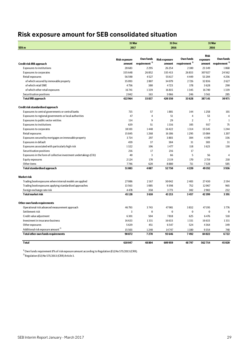## **Risk exposure amount for SEB consolidated situation**

| 31 Mar                                                            |                                |                           | 31 Dec                         |                           |                    | 31 Mar                    |  |
|-------------------------------------------------------------------|--------------------------------|---------------------------|--------------------------------|---------------------------|--------------------|---------------------------|--|
| <b>SEK</b> m                                                      | 2017                           |                           | 2016                           |                           | 2016               |                           |  |
|                                                                   |                                |                           |                                |                           |                    |                           |  |
|                                                                   |                                | Own funds                 |                                | Own funds                 | <b>Risk</b>        | <b>Own funds</b>          |  |
|                                                                   | <b>Risk exposure</b><br>amount | requirement <sup>1)</sup> | <b>Risk exposure</b><br>amount | requirement <sup>1)</sup> | exposure<br>amount | requirement <sup>1)</sup> |  |
| Credit risk IRB approach                                          |                                |                           |                                |                           |                    |                           |  |
| <b>Exposures to institutions</b>                                  | 28683                          | 2295                      | 26254                          | 2100                      | 23 3 4 9           | 1868                      |  |
| <b>Exposures to corporates</b>                                    | 335 648                        | 26852                     | 335413                         | 26833                     | 307027             | 24562                     |  |
| Retail exposures                                                  | 56590                          | 4527                      | 55 617                         | 4449                      | 53 204             | 4256                      |  |
| of which secured by immovable property                            | 35093                          | 2807                      | 34 0 79                        | 2726                      | 32836              | 2627                      |  |
| of which retail SME                                               | 4756                           | 380                       | 4723                           | 378                       | 3628               | 290                       |  |
| of which other retail exposures                                   | 16741                          | 1339                      | 16815                          | 1345                      | 16740              | 1339                      |  |
| Securitisation positions                                          | 2042                           | 163                       | 3066                           | 246                       | 3561               | 285                       |  |
| <b>Total IRB approach</b>                                         | 422964                         | 33837                     | 420350                         | 33 6 28                   | 387141             | 30971                     |  |
| Credit risk standardised approach                                 |                                |                           |                                |                           |                    |                           |  |
| Exposures to central governments or central banks                 | 715                            | 57                        | 1801                           | 144                       | 1258               | 101                       |  |
| Exposures to regional governments or local authorities            | 47                             | $\overline{4}$            | 51                             | $\overline{4}$            | 53                 | $\overline{4}$            |  |
| Exposures to public sector entities                               | 114                            | 9                         | 29                             | $\overline{2}$            | $\overline{7}$     | $\mathbf{1}$              |  |
| <b>Exposures to institutions</b>                                  | 639                            | 51                        | 1316                           | 105                       | 937                | 75                        |  |
| <b>Exposures to corporates</b>                                    | 18103                          | 1448                      | 16422                          | 1314                      | 15 5 45            | 1244                      |  |
| Retail exposures                                                  | 15845                          | 1268                      | 16186                          | 1295                      | 15084              | 1207                      |  |
| Exposures secured by mortgages on immovable property              | 3714                           | 297                       | 3803                           | 304                       | 4199               | 336                       |  |
| Exposures in default                                              | 459                            | 37                        | 384                            | 31                        | 383                | 31                        |  |
| Exposures associated with particularly high risk                  | 1322                           | 106                       | 1477                           | 118                       | 1623               | 130                       |  |
| Securitisation positions                                          | 216                            | 17                        | 216                            | 17                        |                    |                           |  |
| Exposures in the form of collective investment undertakings (CIU) | 40                             | 3                         | 66                             | 5                         | 56                 | $\overline{4}$            |  |
| Equity exposures                                                  | 2124                           | 170                       | 2 1 1 9                        | 170                       | 2719               | 218                       |  |
| Other items                                                       | 7746                           | 620                       | 8880                           | 711                       | 7328               | 585                       |  |
| <b>Total standardised approach</b>                                | 51083                          | 4087                      | 52750                          | 4220                      | 49 192             | 3936                      |  |
|                                                                   |                                |                           |                                |                           |                    |                           |  |
| <b>Market risk</b>                                                |                                |                           |                                |                           |                    |                           |  |
| Trading book exposures where internal models are applied          | 27086                          | 2167                      | 30042                          | 2 4 0 3                   | 27430              | 2194                      |  |
| Trading book exposures applying standardised approaches           | 13 5 63                        | 1085                      | 9398                           | 752                       | 12067              | 965                       |  |
| Foreign exchange rate risk<br><b>Total market risk</b>            | 4478<br>45128                  | 358<br>3610               | 3773<br>43 213                 | 302<br>3457               | 2902<br>42399      | 232<br>3391               |  |
|                                                                   |                                |                           |                                |                           |                    |                           |  |
| Other own funds requirements                                      |                                |                           |                                |                           |                    |                           |  |
| Operational risk advanced measurement approach                    | 46793                          | 3743                      | 47901                          | 3832                      | 47195              | 3776                      |  |
| Settlement risk                                                   | 3                              | $\mathbf{0}$              | $\mathbf{0}$                   | $\mathbf{0}$              | $\bf{0}$           | $\Omega$                  |  |
| Credit value adjustment                                           | 6301                           | 504                       | 7818                           | 625                       | 6476               | 518                       |  |
| Investment in insurance business                                  | 16633                          | 1331                      | 16633                          | 1331                      | 16633              | 1331                      |  |
| Other exposures                                                   | 5639                           | 451                       | 6547                           | 524                       | 4364               | 349                       |  |
| Additional risk exposure amount <sup>2)</sup>                     | 15 5 03                        | 1240                      | 14747                          | 1180                      | 9354               | 748                       |  |
| <b>Total other own funds requirements</b>                         | 90872                          | 7270                      | 93646                          | 7492                      | 84022              | 6722                      |  |
| <b>Total</b>                                                      | 610047                         | 48804                     | 609959                         | 48797                     | 562754             | 45020                     |  |

 $^{1)}$  Own funds requirement 8% of risk exposure amount according to Regulation (EU) No 575/2013 (CRR).

 $^{2)}$  Regulation (EU) No 575/2013 (CRR) Article 3.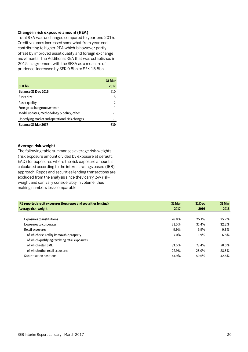## **Change in risk exposure amount (REA)**

Total REA was unchanged compared to year-end 2016. Credit volumes increased somewhat from year-end contributing to higher REA which is however partly offset by improved asset quality and foreign exchange movements. The Additional REA that was established in 2015 in agreement with the SFSA as a measure of prudence, increased by SEK 0.8bn to SEK 15.5bn.

|                                                | 31 Mar |
|------------------------------------------------|--------|
| <b>SEK bn</b>                                  | 2017   |
| <b>Balance 31 Dec 2016</b>                     | 610    |
| Asset size                                     | 5      |
| Asset quality                                  | -2     |
| Foreign exchange movements                     | -1     |
| Model updates, methodology & policy, other     | -1     |
| Underlying market and operational risk changes | -1     |
| Balance 31 Mar 2017                            |        |

## **Average risk-weight**

The following table summarises average risk-weights (risk exposure amount divided by exposure at default, EAD) for exposures where the risk exposure amount is calculated according to the internal ratings based (IRB) approach. Repos and securities lending transactions are excluded from the analysis since they carry low riskweight and can vary considerably in volume, thus making numbers less comparable.

| <b>IRB reported credit exposures (less repos and securities lending)</b> | 31 Mar  | <b>31 Dec</b> | 31 Mar |
|--------------------------------------------------------------------------|---------|---------------|--------|
| Average risk-weight                                                      | 2017    | 2016          | 2016   |
|                                                                          |         |               |        |
| <b>Exposures to institutions</b>                                         | 26.8%   | 25.1%         | 25.2%  |
| <b>Exposures to corporates</b>                                           | 31.5%   | 31.4%         | 32.2%  |
| Retail exposures                                                         | 9.9%    | 9.9%          | 9.8%   |
| of which secured by immovable property                                   | $7.0\%$ | 6.9%          | 6.8%   |
| of which qualifying revolving retail exposures                           |         |               |        |
| of which retail SME                                                      | 83.5%   | 73.4%         | 70.5%  |
| of which other retail exposures                                          | 27.9%   | 28.0%         | 28.3%  |
| Securitisation positions                                                 | 41.9%   | 50.6%         | 42.8%  |
|                                                                          |         |               |        |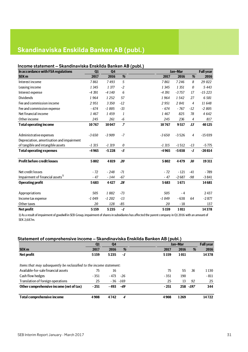## **Skandinaviska Enskilda Banken AB (publ.)**

## **Income statement – Skandinaviska Enskilda Banken AB (publ.)**

| In accordance with FSA regulations           | Q1      | Q <sub>4</sub> |                |         | Jan-Mar |                | <b>Full year</b> |
|----------------------------------------------|---------|----------------|----------------|---------|---------|----------------|------------------|
| <b>SEK m</b>                                 | 2017    | 2016           | %              | 2017    | 2016    | %              | 2016             |
| Interest income                              | 7861    | 7493           | $\sqrt{5}$     | 7861    | 7246    | 8              | 29 0 22          |
| Leasing income                               | 1 3 4 5 | 1 377          | $-2$           | 1 3 4 5 | 1 3 5 1 | 0              | 5 4 4 3          |
| Interest expense                             | $-4391$ | $-4140$        | 6              | $-4391$ | $-3757$ | 17             | $-15223$         |
| <b>Dividends</b>                             | 1964    | 1 2 5 2        | 57             | 1964    | 1542    | 27             | 6 5 8 1          |
| Fee and commission income                    | 2951    | 3350           | $-12$          | 2951    | 2841    | $\overline{4}$ | 11 648           |
| Fee and commission expense                   | $-674$  | $-1005$        | $-33$          | $-674$  | $-767$  | $-12$          | $-2805$          |
| Net financial income                         | 1467    | 1459           | 1              | 1467    | 825     | 78             | 4642             |
| Other income                                 | 245     | 261            | -6             | 245     | 236     | $\overline{4}$ | 817              |
| <b>Total operating income</b>                | 10767   | 10047          | $\overline{z}$ | 10767   | 9517    | 13             | 40125            |
|                                              |         |                |                |         |         |                |                  |
| Administrative expenses                      | $-3650$ | $-3909$        | $-7$           | $-3650$ | $-3526$ | $\overline{4}$ | $-15039$         |
| Depreciation, amortisation and impairment    |         |                |                |         |         |                |                  |
| of tangible and intangible assets            | $-1315$ | $-1319$        | 0              | $-1315$ | $-1512$ | $-13$          | $-5775$          |
| <b>Total operating expenses</b>              | $-4965$ | $-5228$        | -5             | $-4965$ | $-5038$ | $-I$           | $-20814$         |
| <b>Profit before credit losses</b>           | 5802    | 4819           | 20             | 5802    | 4479    | 30             | 19311            |
| Net credit losses                            | $-72$   | $-248$         | $-71$          | $-72$   | $-121$  | $-41$          | - 789            |
| Impairment of financial assets <sup>1)</sup> | $-47$   | $-144$         | $-67$          | $-47$   | $-2687$ | $-98$          | $-3841$          |
| <b>Operating profit</b>                      | 5683    | 4427           | 28             | 5683    | 1671    |                | 14681            |
|                                              |         |                |                |         |         |                |                  |
| Appropriations                               | 505     | 1882           | $-73$          | 505     | - 4     |                | 2437             |
| Income tax expense                           | $-1049$ | $-1202$        | $-13$          | $-1049$ | $-638$  | 64             | $-2877$          |
| Other taxes                                  | 20      | 128            | $-85$          | 20      | $-18$   |                | 137              |
| <b>Net profit</b>                            | 5159    | 5235           | -1             | 5159    | 1011    |                | 14378            |

1) As a result of impairment of goodwill in SEB Group, impairment of shares in subsidiaries has affected the parent company in Q1 2016 with an amount of SEK 2,687m.

## **Statement of comprehensive income – Skandinaviska Enskilda Banken AB (publ.)**

|                                                                      | Q1     | Q <sub>4</sub> |             |        | Jan-Mar |           | <b>Full year</b> |
|----------------------------------------------------------------------|--------|----------------|-------------|--------|---------|-----------|------------------|
| <b>SEK m</b>                                                         | 2017   | 2016           | %           | 2017   | 2016    | %         | 2016             |
| Net profit                                                           | 5159   | 5235           | -1          | 5159   | 1011    |           | 14378            |
|                                                                      |        |                |             |        |         |           |                  |
| Items that may subsequently be reclassified to the income statement: |        |                |             |        |         |           |                  |
| Available-for-sale financial assets                                  | 75     | 16             |             | 75     | 55      | 36        | 1130             |
| Cash flow hedges                                                     | $-351$ | - 473          | -26         | $-351$ | 190     |           | $-811$           |
| Translation of foreign operations                                    | 25     |                | $-36 - 169$ | 25     | 13      | 92        | 25               |
| Other comprehensive income (net of tax)                              | $-251$ | - 493          | -49         | $-251$ |         | 258 - 197 | 344              |
| <b>Total comprehensive income</b>                                    | 4908   | 4742           | 4           | 4908   | 1269    |           | 14722            |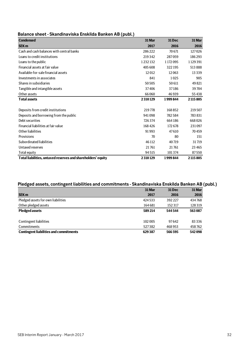## **Balance sheet - Skandinaviska Enskilda Banken AB (publ.)**

| <b>Condensed</b>                                             | 31 Mar  | 31 Dec  | 31 Mar  |
|--------------------------------------------------------------|---------|---------|---------|
| <b>SEK m</b>                                                 | 2017    | 2016    | 2016    |
| Cash and cash balances with central banks                    | 286222  | 70671   | 127026  |
| Loans to credit institutions                                 | 219342  | 287059  | 186293  |
| Loans to the public                                          | 1232132 | 1172095 | 1129391 |
| Financial assets at fair value                               | 405 608 | 322195  | 513888  |
| Available-for-sale financial assets                          | 12012   | 12063   | 13339   |
| Investments in associates                                    | 841     | 1025    | 905     |
| Shares in subsidiaries                                       | 50505   | 50611   | 49821   |
| Tangible and intangible assets                               | 37406   | 37186   | 39704   |
| Other assets                                                 | 66060   | 46939   | 55438   |
| <b>Total assets</b>                                          | 2310129 | 1999844 | 2115805 |
|                                                              |         |         |         |
| Deposits from credit institutions                            | 219778  | 168852  | 219507  |
| Deposits and borrowing from the public                       | 941098  | 782584  | 783831  |
| Debt securities                                              | 726374  | 664186  | 668026  |
| Financial liabilities at fair value                          | 168426  | 172678  | 231097  |
| Other liabilities                                            | 91993   | 47610   | 70459   |
| Provisions                                                   | 70      | 80      | 151     |
| Subordinated liabilities                                     | 46 112  | 40719   | 31719   |
| Untaxed reserves                                             | 21761   | 21761   | 23 4 65 |
| Total equity                                                 | 94515   | 101374  | 87550   |
| Total liabilities, untaxed reserves and shareholders' equity | 2310129 | 1999844 | 2115805 |

## **Pledged assets, contingent liabilities and commitments - Skandinaviska Enskilda Banken AB (publ.)**

|                                               | 31 Mar  | <b>31 Dec</b> | 31 Mar |
|-----------------------------------------------|---------|---------------|--------|
| <b>SEK m</b>                                  | 2017    | 2016          | 2016   |
| Pledged assets for own liabilities            | 424533  | 392 227       | 434768 |
| Other pledged assets                          | 164 681 | 152317        | 128319 |
| <b>Pledged assets</b>                         | 589214  | 544 544       | 563087 |
|                                               |         |               |        |
| Contingent liabilities                        | 102 005 | 97642         | 83336  |
| Commitments                                   | 527382  | 468953        | 458762 |
| <b>Contingent liabilities and commitments</b> | 629387  | 566595        | 542098 |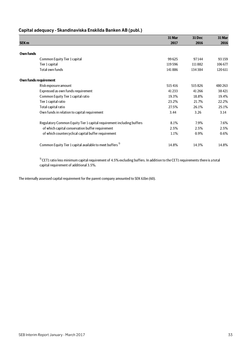## **Capital adequacy - Skandinaviska Enskilda Banken AB (publ.)**

|                       |                                                                       | 31 Mar  | <b>31 Dec</b> | 31 Mar  |
|-----------------------|-----------------------------------------------------------------------|---------|---------------|---------|
| SEK <sub>m</sub>      |                                                                       | 2017    | 2016          | 2016    |
|                       |                                                                       |         |               |         |
| <b>Own funds</b>      |                                                                       |         |               |         |
|                       | Common Equity Tier 1 capital                                          | 99625   | 97144         | 93 159  |
|                       | Tier 1 capital                                                        | 119596  | 111882        | 106 677 |
|                       | Total own funds                                                       | 141886  | 134384        | 120 611 |
| Own funds requirement |                                                                       |         |               |         |
|                       | Risk exposure amount                                                  | 515416  | 515826        | 480 263 |
|                       | Expressed as own funds requirement                                    | 41 2 33 | 41266         | 38421   |
|                       | Common Equity Tier 1 capital ratio                                    | 19.3%   | 18.8%         | 19.4%   |
|                       | Tier 1 capital ratio                                                  | 23.2%   | 21.7%         | 22.2%   |
|                       | Total capital ratio                                                   | 27.5%   | 26.1%         | 25.1%   |
|                       | Own funds in relation to capital requirement                          | 3.44    | 3.26          | 3.14    |
|                       | Regulatory Common Equity Tier 1 capital requirement including buffers | 8.1%    | 7.9%          | 7.6%    |
|                       | of which capital conservation buffer requirement                      | 2.5%    | 2.5%          | 2.5%    |
|                       | of which countercyclical capital buffer requirement                   | 1.1%    | 0.9%          | $0.6\%$ |
|                       | Common Equity Tier 1 capital available to meet buffers <sup>1)</sup>  | 14.8%   | 14.3%         | 14.8%   |

 $1)$  CET1 ratio less minimum capital requirement of 4.5% excluding buffers. In addition to the CET1 requirements there is a total capital requirement of additional 3.5%.

The internally assessed capital requirement for the parent company amounted to SEK 61bn (60).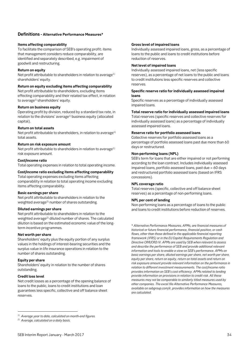## **Definitions - Alternative Performance Measures\***

## **Items affecting comparability**

To facilitate the comparison of SEB's operating profit; items that management considers reduce comparability, are identified and separately described, e.g. impairment of goodwill and restructuring.

## **Return on equity**

Net profit attributable to shareholders in relation to average $1$ ) shareholders' equity.

## **Return on equity excluding items affecting comparability**

Net profit attributable to shareholders, excluding items effecting comparability and their related tax effect, in relation to average<sup>1)</sup> shareholders' equity.

## **Return on business equity**

Operating profit by division, reduced by a standard tax rate, in relation to the divisions' average<sup>1)</sup> business equity (allocated capital).

## **Return on total assets**

Net profit attributable to shareholders, in relation to average<sup>1)</sup> total assets.

## **Return on risk exposure amount**

Net profit attributable to shareholders in relation to average<sup>1)</sup> risk exposure amount.

## **Cost/income ratio**

Total operating expenses in relation to total operating income.

## **Cost/income ratio excluding items affecting comparability**

Total operating expenses excluding items affecting comparability in relation to total operating income excluding items affecting comparability.

## **Basic earnings per share**

Net profit attributable to shareholders in relation to the weighted average<sup>2)</sup> number of shares outstanding.

## **Diluted earnings per share**

Net profit attributable to shareholders in relation to the weighted average<sup>2)</sup> diluted number of shares. The calculated dilution is based on the estimated economic value of the longterm incentive programmes.

## **Net worth per share**

Shareholders' equity plus the equity portion of any surplus values in the holdings of interest-bearing securities and the surplus value in life insurance operations in relation to the number of shares outstanding.

## **Equity per share**

Shareholders' equity in relation to the number of shares outstanding.

## **Credit loss level**

 $\overline{a}$ 

Net credit losses as a percentage of the opening balance of loans to the public, loans to credit institutions and loan guarantees less specific, collective and off balance sheet reserves.

### **Gross level of impaired loans**

Individually assessed impaired loans, gross, as a percentage of loans to the public and loans to credit institutions before reduction of reserves.

## **Net level of impaired loans**

Individually assessed impaired loans, net (less specific reserves), as a percentage of net loans to the public and loans to credit institutions less specific reserves and collective reserves.

## **Specific reserve ratio for individually assessed impaired loans**

Specific reserves as a percentage of individually assessed impaired loans.

## **Total reserve ratio for individually assessed impaired loans**

Total reserves (specific reserves and collective reserves for individually assessed loans) as a percentage of individually assessed impaired loans.

## **Reserve ratio for portfolio assessed loans**

Collective reserves for portfolio assessed loans as a percentage of portfolio assessed loans past due more than 60 days or restructured.

## **Non-performing loans (NPL)**

SEB's term for loans that are either impaired or not performing according to the loan contract. Includes individually assessed impaired loans, portfolio assessed loans, past due > 60 days and restructured portfolio assessed loans (based on IFRS concessions).

## **NPL coverage ratio**

Total reserves (specific, collective and off balance sheet reserves) as a percentage of non-performing loans.

## **NPL per cent of lending**

Non-performing loans as a percentage of loans to the public and loans to credit institutions before reduction of reserves.

\* *Alternative Performance Measures, APMs, are financial measures of historical or future financial performance, financial position, or cash flows, other than those defined in the applicable financial reporting framework (IFRS) or in the EU Capital Requirements Regulation and Directive CRR/CRD IV. APMs are used by SEB when relevant to assess and describe the performance of SEB and provide additional relevant information and tools to enable a view on SEB's performance. APMs on basic earnings per share, diluted earnings per share, net worth per share, equity per share, return on equity, return on total assets and return on risk exposure amount provide relevant information on the performance in relation to different investment measurements. The cost/income ratio provides information on SEB's cost efficiency. APMs related to lending provide information on provisions in relation to credit risk. All these measures may not be comparable to similarly titled measures used by other companies. The excel file Alternative Performance Measures, available on sebgroup.com/ir, provides information on how the measures are calculated.*

*<sup>1)</sup> Average year to date, calculated on month-end figures.* 

*<sup>2)</sup> Average, calculated on a daily basis.*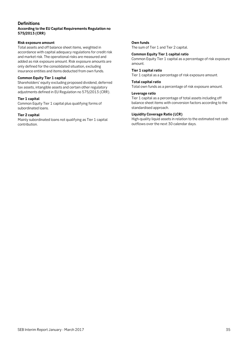## **Definitions**

## **According to the EU Capital Requirements Regulation no 575/2013 (CRR)**

## **Risk exposure amount**

and market risk. The operational risks are measured and Total assets and off balance sheet items, weighted in accordance with capital adequacy regulations for credit risk added as risk exposure amount. Risk exposure amounts are only defined for the consolidated situation, excluding insurance entities and items deducted from own funds.

## **Common Equity Tier 1 capital**

Shareholders' equity excluding proposed dividend, deferred tax assets, intangible assets and certain other regulatory adjustments defined in EU Regulation no 575/2013 (CRR).

## **Tier 1 capital**

Common Equity Tier 1 capital plus qualifying forms of subordinated loans.

## **Tier 2 capital**

Mainly subordinated loans not qualifying as Tier 1 capital contribution.

## **Own funds**

The sum of Tier 1 and Tier 2 capital.

## **Common Equity Tier 1 capital ratio**

Common Equity Tier 1 capital as a percentage of risk exposure amount.

## **Tier 1 capital ratio**

Tier 1 capital as a percentage of risk exposure amount.

## **Total capital ratio**

Total own funds as a percentage of risk exposure amount.

## **Leverage ratio**

Tier 1 capital as a percentage of total assets including off balance sheet items with conversion factors according to the standardised approach.

## **Liquidity Coverage Ratio (LCR)**

High-quality liquid assets in relation to the estimated net cash outflows over the next 30 calendar days.